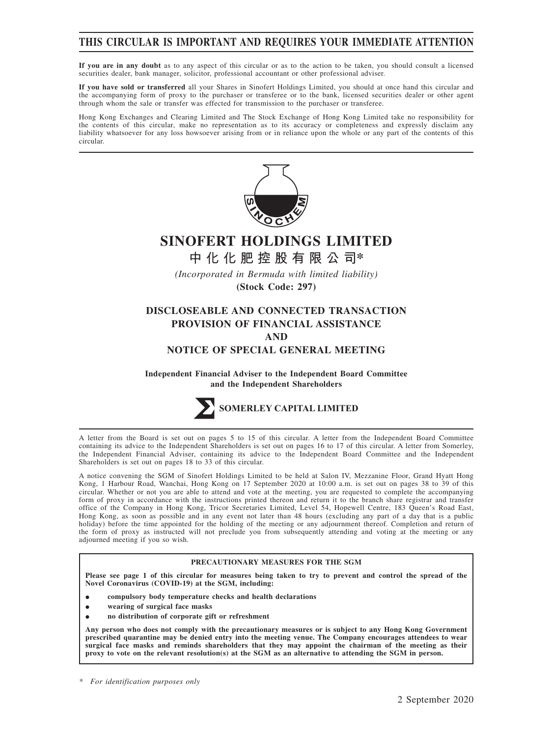## **THIS CIRCULAR IS IMPORTANT AND REQUIRES YOUR IMMEDIATE ATTENTION**

**If you are in any doubt** as to any aspect of this circular or as to the action to be taken, you should consult a licensed securities dealer, bank manager, solicitor, professional accountant or other professional adviser.

**If you have sold or transferred** all your Shares in Sinofert Holdings Limited, you should at once hand this circular and the accompanying form of proxy to the purchaser or transferee or to the bank, licensed securities dealer or other agent through whom the sale or transfer was effected for transmission to the purchaser or transferee.

Hong Kong Exchanges and Clearing Limited and The Stock Exchange of Hong Kong Limited take no responsibility for the contents of this circular, make no representation as to its accuracy or completeness and expressly disclaim any liability whatsoever for any loss howsoever arising from or in reliance upon the whole or any part of the contents of this circular.



# **SINOFERT HOLDINGS LIMITED**

**中化化肥控股有限公司\***

*(Incorporated in Bermuda with limited liability)* **(Stock Code: 297)**

## **DISCLOSEABLE AND CONNECTED TRANSACTION PROVISION OF FINANCIAL ASSISTANCE AND**

#### **NOTICE OF SPECIAL GENERAL MEETING**

**Independent Financial Adviser to the Independent Board Committee and the Independent Shareholders**



A letter from the Board is set out on pages 5 to 15 of this circular. A letter from the Independent Board Committee containing its advice to the Independent Shareholders is set out on pages 16 to 17 of this circular. A letter from Somerley, the Independent Financial Adviser, containing its advice to the Independent Board Committee and the Independent Shareholders is set out on pages 18 to 33 of this circular.

A notice convening the SGM of Sinofert Holdings Limited to be held at Salon IV, Mezzanine Floor, Grand Hyatt Hong Kong, 1 Harbour Road, Wanchai, Hong Kong on 17 September 2020 at 10:00 a.m. is set out on pages 38 to 39 of this circular. Whether or not you are able to attend and vote at the meeting, you are requested to complete the accompanying form of proxy in accordance with the instructions printed thereon and return it to the branch share registrar and transfer office of the Company in Hong Kong, Tricor Secretaries Limited, Level 54, Hopewell Centre, 183 Queen's Road East, Hong Kong, as soon as possible and in any event not later than 48 hours (excluding any part of a day that is a public holiday) before the time appointed for the holding of the meeting or any adjournment thereof. Completion and return of the form of proxy as instructed will not preclude you from subsequently attending and voting at the meeting or any adjourned meeting if you so wish.

#### **PRECAUTIONARY MEASURES FOR THE SGM**

**Please see page 1 of this circular for measures being taken to try to prevent and control the spread of the Novel Coronavirus (COVID-19) at the SGM, including:**

- $\bullet$ **compulsory body temperature checks and health declarations**
- $\bullet$ **wearing of surgical face masks**
- $\bullet$ **no distribution of corporate gift or refreshment**

**Any person who does not comply with the precautionary measures or is subject to any Hong Kong Government prescribed quarantine may be denied entry into the meeting venue. The Company encourages attendees to wear surgical face masks and reminds shareholders that they may appoint the chairman of the meeting as their proxy to vote on the relevant resolution(s) at the SGM as an alternative to attending the SGM in person.**

*\* For identification purposes only*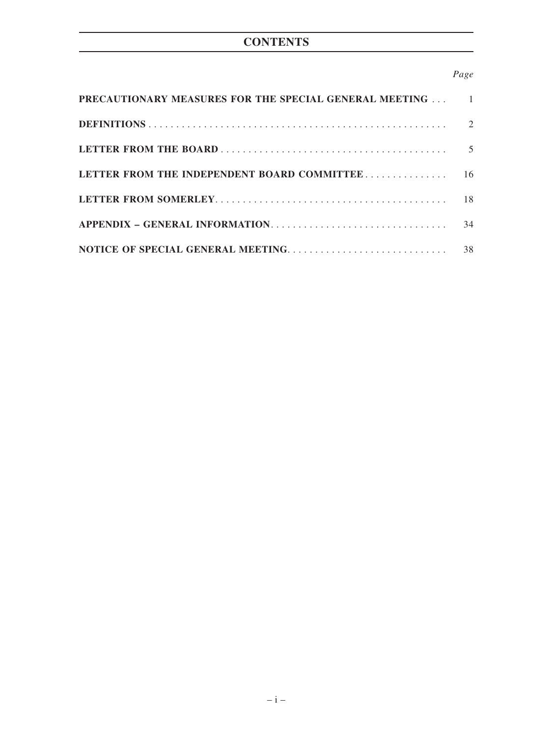# **CONTENTS**

## *Page*

| PRECAUTIONARY MEASURES FOR THE SPECIAL GENERAL MEETING |                             |
|--------------------------------------------------------|-----------------------------|
|                                                        | $\mathcal{D}_{\mathcal{L}}$ |
|                                                        | $\overline{5}$              |
| LETTER FROM THE INDEPENDENT BOARD COMMITTEE            | 16                          |
|                                                        | 18                          |
|                                                        | 34                          |
|                                                        | 38                          |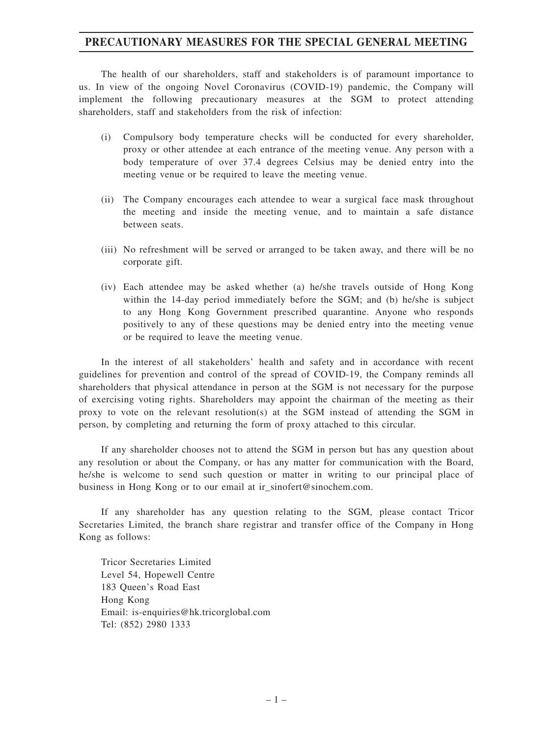## **PRECAUTIONARY MEASURES FOR THE SPECIAL GENERAL MEETING**

The health of our shareholders, staff and stakeholders is of paramount importance to us. In view of the ongoing Novel Coronavirus (COVID-19) pandemic, the Company will implement the following precautionary measures at the SGM to protect attending shareholders, staff and stakeholders from the risk of infection:

- (i) Compulsory body temperature checks will be conducted for every shareholder, proxy or other attendee at each entrance of the meeting venue. Any person with a body temperature of over 37.4 degrees Celsius may be denied entry into the meeting venue or be required to leave the meeting venue.
- (ii) The Company encourages each attendee to wear a surgical face mask throughout the meeting and inside the meeting venue, and to maintain a safe distance between seats.
- (iii) No refreshment will be served or arranged to be taken away, and there will be no corporate gift.
- (iv) Each attendee may be asked whether (a) he/she travels outside of Hong Kong within the 14-day period immediately before the SGM; and (b) he/she is subject to any Hong Kong Government prescribed quarantine. Anyone who responds positively to any of these questions may be denied entry into the meeting venue or be required to leave the meeting venue.

In the interest of all stakeholders' health and safety and in accordance with recent guidelines for prevention and control of the spread of COVID-19, the Company reminds all shareholders that physical attendance in person at the SGM is not necessary for the purpose of exercising voting rights. Shareholders may appoint the chairman of the meeting as their proxy to vote on the relevant resolution(s) at the SGM instead of attending the SGM in person, by completing and returning the form of proxy attached to this circular.

If any shareholder chooses not to attend the SGM in person but has any question about any resolution or about the Company, or has any matter for communication with the Board, he/she is welcome to send such question or matter in writing to our principal place of business in Hong Kong or to our email at ir\_sinofert@sinochem.com.

If any shareholder has any question relating to the SGM, please contact Tricor Secretaries Limited, the branch share registrar and transfer office of the Company in Hong Kong as follows:

Tricor Secretaries Limited Level 54, Hopewell Centre 183 Queen's Road East Hong Kong Email: is-enquiries@hk.tricorglobal.com Tel: (852) 2980 1333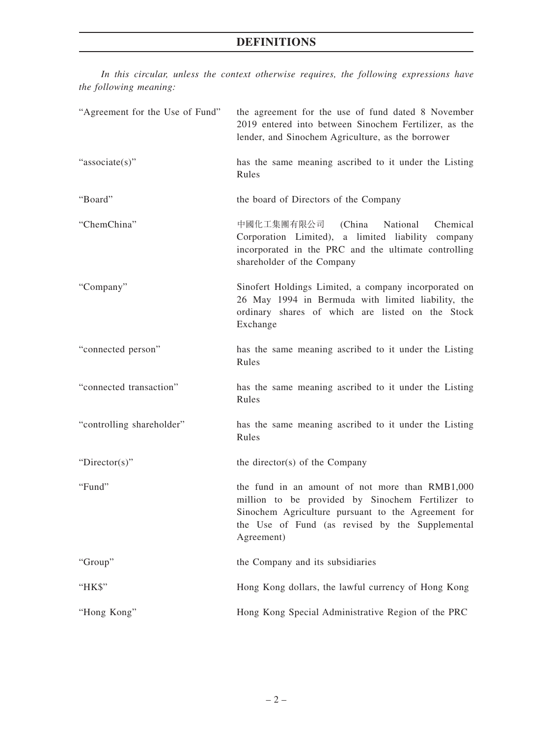# **DEFINITIONS**

*In this circular, unless the context otherwise requires, the following expressions have the following meaning:*

| "Agreement for the Use of Fund" | the agreement for the use of fund dated 8 November<br>2019 entered into between Sinochem Fertilizer, as the<br>lender, and Sinochem Agriculture, as the borrower                                                           |
|---------------------------------|----------------------------------------------------------------------------------------------------------------------------------------------------------------------------------------------------------------------------|
| "associate(s)"                  | has the same meaning ascribed to it under the Listing<br>Rules                                                                                                                                                             |
| "Board"                         | the board of Directors of the Company                                                                                                                                                                                      |
| "ChemChina"                     | 中國化工集團有限公司 (China<br>National<br>Chemical<br>Corporation Limited), a limited liability company<br>incorporated in the PRC and the ultimate controlling<br>shareholder of the Company                                       |
| "Company"                       | Sinofert Holdings Limited, a company incorporated on<br>26 May 1994 in Bermuda with limited liability, the<br>ordinary shares of which are listed on the Stock<br>Exchange                                                 |
| "connected person"              | has the same meaning ascribed to it under the Listing<br>Rules                                                                                                                                                             |
| "connected transaction"         | has the same meaning ascribed to it under the Listing<br>Rules                                                                                                                                                             |
| "controlling shareholder"       | has the same meaning ascribed to it under the Listing<br>Rules                                                                                                                                                             |
| "Director(s)"                   | the director(s) of the Company                                                                                                                                                                                             |
| "Fund"                          | the fund in an amount of not more than RMB1,000<br>million to be provided by Sinochem Fertilizer to<br>Sinochem Agriculture pursuant to the Agreement for<br>the Use of Fund (as revised by the Supplemental<br>Agreement) |
| "Group"                         | the Company and its subsidiaries                                                                                                                                                                                           |
| "HK\$"                          | Hong Kong dollars, the lawful currency of Hong Kong                                                                                                                                                                        |
| "Hong Kong"                     | Hong Kong Special Administrative Region of the PRC                                                                                                                                                                         |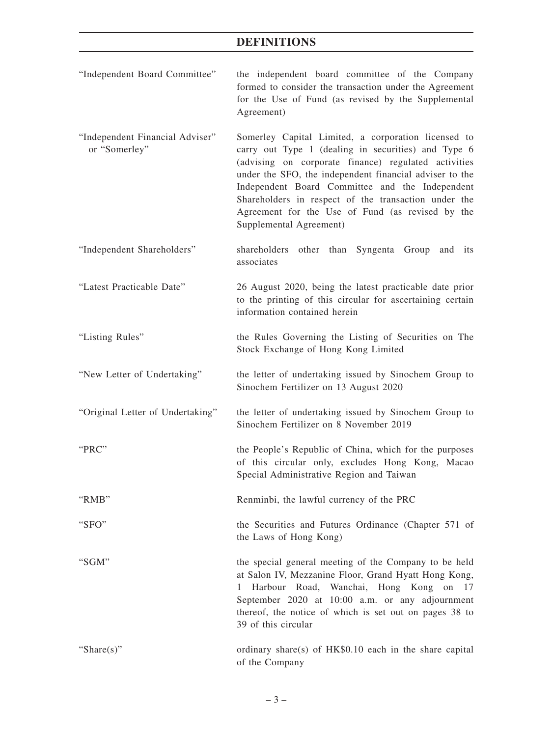## **DEFINITIONS**

"Independent Board Committee" the independent board committee of the Company formed to consider the transaction under the Agreement for the Use of Fund (as revised by the Supplemental Agreement) "Independent Financial Adviser" or "Somerley" Somerley Capital Limited, a corporation licensed to carry out Type 1 (dealing in securities) and Type 6 (advising on corporate finance) regulated activities under the SFO, the independent financial adviser to the Independent Board Committee and the Independent Shareholders in respect of the transaction under the Agreement for the Use of Fund (as revised by the Supplemental Agreement) "Independent Shareholders" shareholders other than Syngenta Group and its associates "Latest Practicable Date" 26 August 2020, being the latest practicable date prior to the printing of this circular for ascertaining certain information contained herein "Listing Rules" the Rules Governing the Listing of Securities on The Stock Exchange of Hong Kong Limited "New Letter of Undertaking" the letter of undertaking issued by Sinochem Group to Sinochem Fertilizer on 13 August 2020 "Original Letter of Undertaking" the letter of undertaking issued by Sinochem Group to Sinochem Fertilizer on 8 November 2019 "PRC" the People's Republic of China, which for the purposes of this circular only, excludes Hong Kong, Macao Special Administrative Region and Taiwan "RMB" Renminbi, the lawful currency of the PRC "SFO" the Securities and Futures Ordinance (Chapter 571 of the Laws of Hong Kong) "SGM" the special general meeting of the Company to be held at Salon IV, Mezzanine Floor, Grand Hyatt Hong Kong, 1 Harbour Road, Wanchai, Hong Kong on 17 September 2020 at 10:00 a.m. or any adjournment thereof, the notice of which is set out on pages 38 to 39 of this circular "Share(s)" ordinary share(s) of HK\$0.10 each in the share capital of the Company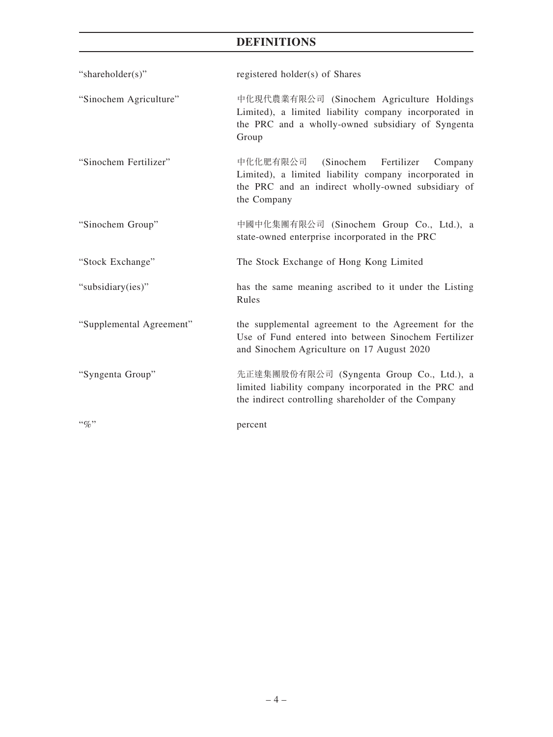# **DEFINITIONS**

| "shareholder(s)"         | registered holder(s) of Shares                                                                                                                                            |
|--------------------------|---------------------------------------------------------------------------------------------------------------------------------------------------------------------------|
| "Sinochem Agriculture"   | 中化現代農業有限公司 (Sinochem Agriculture Holdings<br>Limited), a limited liability company incorporated in<br>the PRC and a wholly-owned subsidiary of Syngenta<br>Group          |
| "Sinochem Fertilizer"    | 中化化肥有限公司 (Sinochem<br>Fertilizer<br>Company<br>Limited), a limited liability company incorporated in<br>the PRC and an indirect wholly-owned subsidiary of<br>the Company |
| "Sinochem Group"         | 中國中化集團有限公司 (Sinochem Group Co., Ltd.), a<br>state-owned enterprise incorporated in the PRC                                                                                |
| "Stock Exchange"         | The Stock Exchange of Hong Kong Limited                                                                                                                                   |
| "subsidiary(ies)"        | has the same meaning ascribed to it under the Listing<br>Rules                                                                                                            |
| "Supplemental Agreement" | the supplemental agreement to the Agreement for the<br>Use of Fund entered into between Sinochem Fertilizer<br>and Sinochem Agriculture on 17 August 2020                 |
| "Syngenta Group"         | 先正達集團股份有限公司 (Syngenta Group Co., Ltd.), a<br>limited liability company incorporated in the PRC and<br>the indirect controlling shareholder of the Company                 |
| $\lq\lq q_0$ "           | percent                                                                                                                                                                   |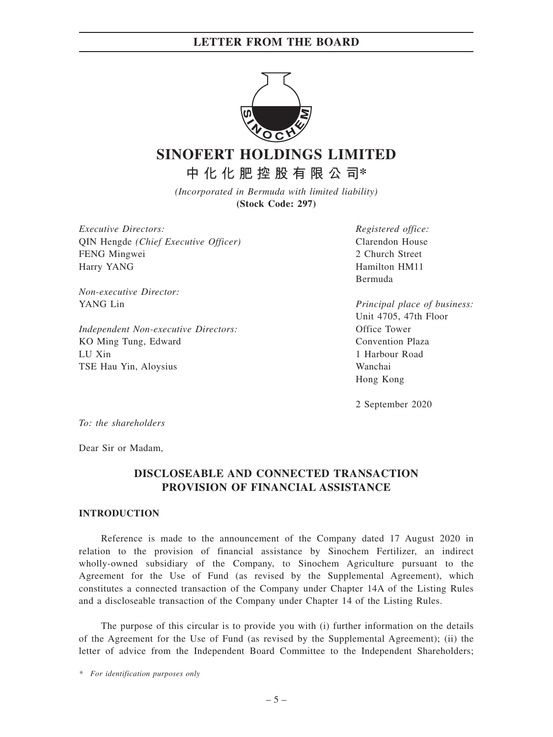

# **SINOFERT HOLDINGS LIMITED**

**中化化肥控股有限公司\***

*(Incorporated in Bermuda with limited liability)* **(Stock Code: 297)**

*Executive Directors:* QIN Hengde *(Chief Executive Officer)* FENG Mingwei Harry YANG

*Non-executive Director:* YANG Lin

*Independent Non-executive Directors:* KO Ming Tung, Edward LU Xin TSE Hau Yin, Aloysius

*Registered office:* Clarendon House 2 Church Street Hamilton HM11 Bermuda

*Principal place of business:* Unit 4705, 47th Floor Office Tower Convention Plaza 1 Harbour Road Wanchai Hong Kong

2 September 2020

*To: the shareholders*

Dear Sir or Madam,

## **DISCLOSEABLE AND CONNECTED TRANSACTION PROVISION OF FINANCIAL ASSISTANCE**

#### **INTRODUCTION**

Reference is made to the announcement of the Company dated 17 August 2020 in relation to the provision of financial assistance by Sinochem Fertilizer, an indirect wholly-owned subsidiary of the Company, to Sinochem Agriculture pursuant to the Agreement for the Use of Fund (as revised by the Supplemental Agreement), which constitutes a connected transaction of the Company under Chapter 14A of the Listing Rules and a discloseable transaction of the Company under Chapter 14 of the Listing Rules.

The purpose of this circular is to provide you with (i) further information on the details of the Agreement for the Use of Fund (as revised by the Supplemental Agreement); (ii) the letter of advice from the Independent Board Committee to the Independent Shareholders;

*\* For identification purposes only*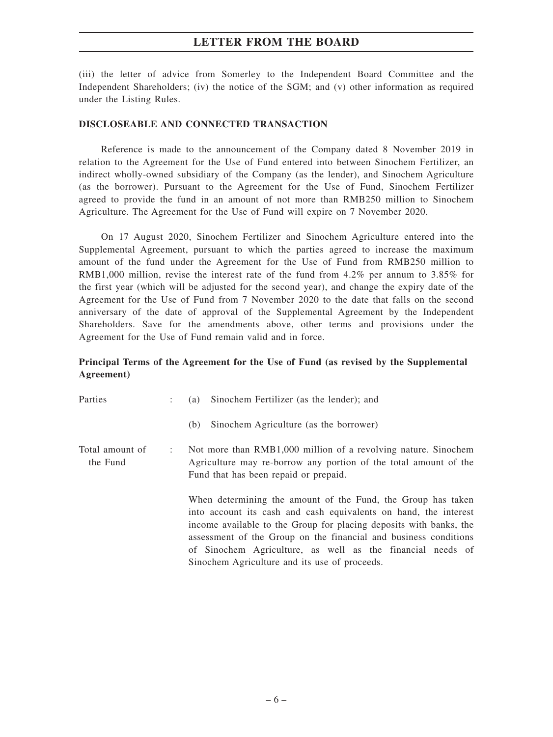(iii) the letter of advice from Somerley to the Independent Board Committee and the Independent Shareholders; (iv) the notice of the SGM; and (v) other information as required under the Listing Rules.

#### **DISCLOSEABLE AND CONNECTED TRANSACTION**

Reference is made to the announcement of the Company dated 8 November 2019 in relation to the Agreement for the Use of Fund entered into between Sinochem Fertilizer, an indirect wholly-owned subsidiary of the Company (as the lender), and Sinochem Agriculture (as the borrower). Pursuant to the Agreement for the Use of Fund, Sinochem Fertilizer agreed to provide the fund in an amount of not more than RMB250 million to Sinochem Agriculture. The Agreement for the Use of Fund will expire on 7 November 2020.

On 17 August 2020, Sinochem Fertilizer and Sinochem Agriculture entered into the Supplemental Agreement, pursuant to which the parties agreed to increase the maximum amount of the fund under the Agreement for the Use of Fund from RMB250 million to RMB1,000 million, revise the interest rate of the fund from 4.2% per annum to 3.85% for the first year (which will be adjusted for the second year), and change the expiry date of the Agreement for the Use of Fund from 7 November 2020 to the date that falls on the second anniversary of the date of approval of the Supplemental Agreement by the Independent Shareholders. Save for the amendments above, other terms and provisions under the Agreement for the Use of Fund remain valid and in force.

## **Principal Terms of the Agreement for the Use of Fund (as revised by the Supplemental Agreement)**

| Parties                     | Sinochem Fertilizer (as the lender); and<br>(a)                                                                                                                                                                                                                                                                                                                                           |
|-----------------------------|-------------------------------------------------------------------------------------------------------------------------------------------------------------------------------------------------------------------------------------------------------------------------------------------------------------------------------------------------------------------------------------------|
|                             | Sinochem Agriculture (as the borrower)<br>(b)                                                                                                                                                                                                                                                                                                                                             |
| Total amount of<br>the Fund | Not more than RMB1,000 million of a revolving nature. Sinochem<br>Agriculture may re-borrow any portion of the total amount of the<br>Fund that has been repaid or prepaid.                                                                                                                                                                                                               |
|                             | When determining the amount of the Fund, the Group has taken<br>into account its cash and cash equivalents on hand, the interest<br>income available to the Group for placing deposits with banks, the<br>assessment of the Group on the financial and business conditions<br>of Sinochem Agriculture, as well as the financial needs of<br>Sinochem Agriculture and its use of proceeds. |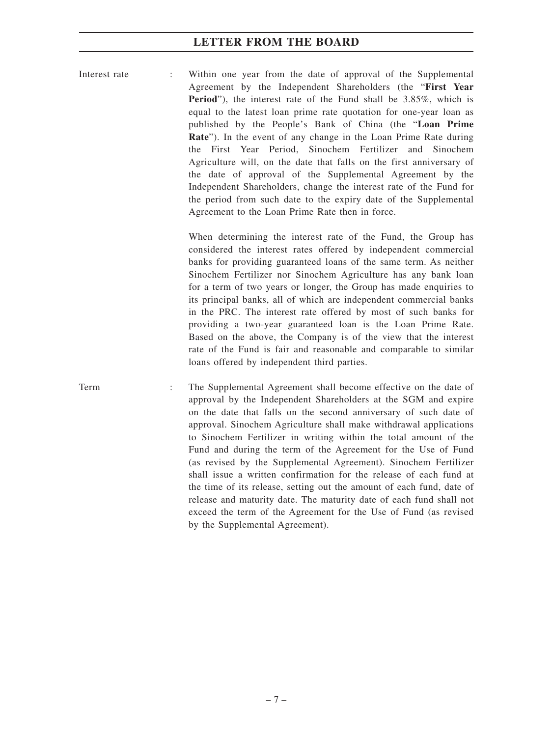Interest rate : Within one year from the date of approval of the Supplemental Agreement by the Independent Shareholders (the "**First Year Period**"), the interest rate of the Fund shall be 3.85%, which is equal to the latest loan prime rate quotation for one-year loan as published by the People's Bank of China (the "**Loan Prime Rate**"). In the event of any change in the Loan Prime Rate during the First Year Period, Sinochem Fertilizer and Sinochem Agriculture will, on the date that falls on the first anniversary of the date of approval of the Supplemental Agreement by the Independent Shareholders, change the interest rate of the Fund for the period from such date to the expiry date of the Supplemental Agreement to the Loan Prime Rate then in force.

> When determining the interest rate of the Fund, the Group has considered the interest rates offered by independent commercial banks for providing guaranteed loans of the same term. As neither Sinochem Fertilizer nor Sinochem Agriculture has any bank loan for a term of two years or longer, the Group has made enquiries to its principal banks, all of which are independent commercial banks in the PRC. The interest rate offered by most of such banks for providing a two-year guaranteed loan is the Loan Prime Rate. Based on the above, the Company is of the view that the interest rate of the Fund is fair and reasonable and comparable to similar loans offered by independent third parties.

Term : The Supplemental Agreement shall become effective on the date of approval by the Independent Shareholders at the SGM and expire on the date that falls on the second anniversary of such date of approval. Sinochem Agriculture shall make withdrawal applications to Sinochem Fertilizer in writing within the total amount of the Fund and during the term of the Agreement for the Use of Fund (as revised by the Supplemental Agreement). Sinochem Fertilizer shall issue a written confirmation for the release of each fund at the time of its release, setting out the amount of each fund, date of release and maturity date. The maturity date of each fund shall not exceed the term of the Agreement for the Use of Fund (as revised by the Supplemental Agreement).

–7–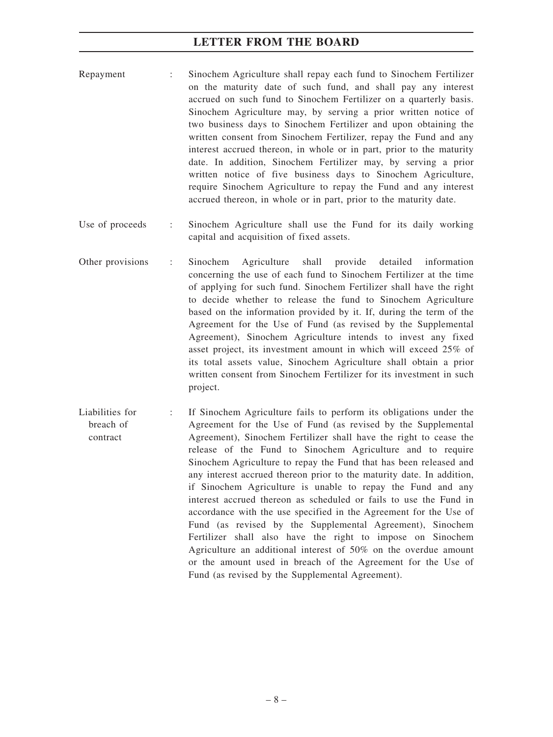- Repayment : Sinochem Agriculture shall repay each fund to Sinochem Fertilizer on the maturity date of such fund, and shall pay any interest accrued on such fund to Sinochem Fertilizer on a quarterly basis. Sinochem Agriculture may, by serving a prior written notice of two business days to Sinochem Fertilizer and upon obtaining the written consent from Sinochem Fertilizer, repay the Fund and any interest accrued thereon, in whole or in part, prior to the maturity date. In addition, Sinochem Fertilizer may, by serving a prior written notice of five business days to Sinochem Agriculture, require Sinochem Agriculture to repay the Fund and any interest accrued thereon, in whole or in part, prior to the maturity date.
- Use of proceeds : Sinochem Agriculture shall use the Fund for its daily working capital and acquisition of fixed assets.
- Other provisions : Sinochem Agriculture shall provide detailed information concerning the use of each fund to Sinochem Fertilizer at the time of applying for such fund. Sinochem Fertilizer shall have the right to decide whether to release the fund to Sinochem Agriculture based on the information provided by it. If, during the term of the Agreement for the Use of Fund (as revised by the Supplemental Agreement), Sinochem Agriculture intends to invest any fixed asset project, its investment amount in which will exceed 25% of its total assets value, Sinochem Agriculture shall obtain a prior written consent from Sinochem Fertilizer for its investment in such project.
- Liabilities for breach of contract If Sinochem Agriculture fails to perform its obligations under the Agreement for the Use of Fund (as revised by the Supplemental Agreement), Sinochem Fertilizer shall have the right to cease the release of the Fund to Sinochem Agriculture and to require Sinochem Agriculture to repay the Fund that has been released and any interest accrued thereon prior to the maturity date. In addition, if Sinochem Agriculture is unable to repay the Fund and any interest accrued thereon as scheduled or fails to use the Fund in accordance with the use specified in the Agreement for the Use of Fund (as revised by the Supplemental Agreement), Sinochem Fertilizer shall also have the right to impose on Sinochem Agriculture an additional interest of 50% on the overdue amount or the amount used in breach of the Agreement for the Use of Fund (as revised by the Supplemental Agreement).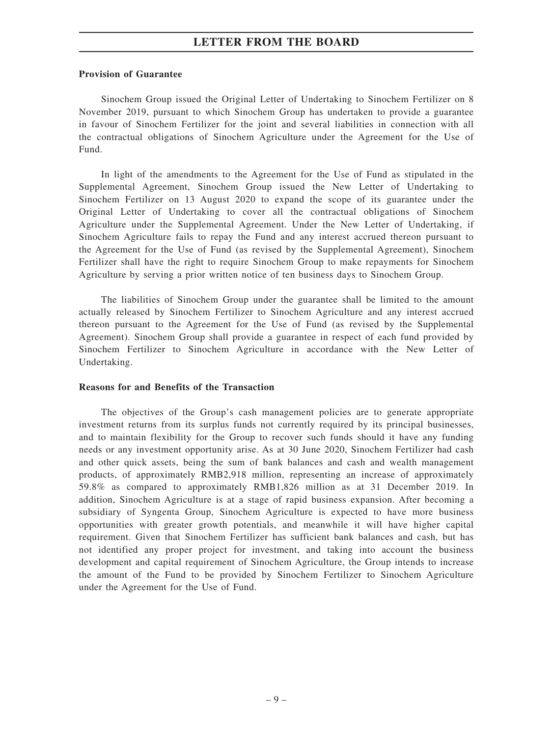#### **Provision of Guarantee**

Sinochem Group issued the Original Letter of Undertaking to Sinochem Fertilizer on 8 November 2019, pursuant to which Sinochem Group has undertaken to provide a guarantee in favour of Sinochem Fertilizer for the joint and several liabilities in connection with all the contractual obligations of Sinochem Agriculture under the Agreement for the Use of Fund.

In light of the amendments to the Agreement for the Use of Fund as stipulated in the Supplemental Agreement, Sinochem Group issued the New Letter of Undertaking to Sinochem Fertilizer on 13 August 2020 to expand the scope of its guarantee under the Original Letter of Undertaking to cover all the contractual obligations of Sinochem Agriculture under the Supplemental Agreement. Under the New Letter of Undertaking, if Sinochem Agriculture fails to repay the Fund and any interest accrued thereon pursuant to the Agreement for the Use of Fund (as revised by the Supplemental Agreement), Sinochem Fertilizer shall have the right to require Sinochem Group to make repayments for Sinochem Agriculture by serving a prior written notice of ten business days to Sinochem Group.

The liabilities of Sinochem Group under the guarantee shall be limited to the amount actually released by Sinochem Fertilizer to Sinochem Agriculture and any interest accrued thereon pursuant to the Agreement for the Use of Fund (as revised by the Supplemental Agreement). Sinochem Group shall provide a guarantee in respect of each fund provided by Sinochem Fertilizer to Sinochem Agriculture in accordance with the New Letter of Undertaking.

#### **Reasons for and Benefits of the Transaction**

The objectives of the Group's cash management policies are to generate appropriate investment returns from its surplus funds not currently required by its principal businesses, and to maintain flexibility for the Group to recover such funds should it have any funding needs or any investment opportunity arise. As at 30 June 2020, Sinochem Fertilizer had cash and other quick assets, being the sum of bank balances and cash and wealth management products, of approximately RMB2,918 million, representing an increase of approximately 59.8% as compared to approximately RMB1,826 million as at 31 December 2019. In addition, Sinochem Agriculture is at a stage of rapid business expansion. After becoming a subsidiary of Syngenta Group, Sinochem Agriculture is expected to have more business opportunities with greater growth potentials, and meanwhile it will have higher capital requirement. Given that Sinochem Fertilizer has sufficient bank balances and cash, but has not identified any proper project for investment, and taking into account the business development and capital requirement of Sinochem Agriculture, the Group intends to increase the amount of the Fund to be provided by Sinochem Fertilizer to Sinochem Agriculture under the Agreement for the Use of Fund.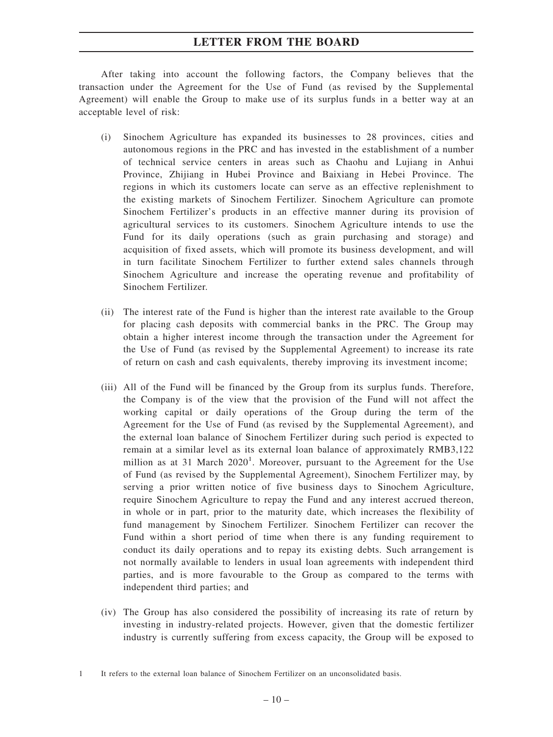After taking into account the following factors, the Company believes that the transaction under the Agreement for the Use of Fund (as revised by the Supplemental Agreement) will enable the Group to make use of its surplus funds in a better way at an acceptable level of risk:

- (i) Sinochem Agriculture has expanded its businesses to 28 provinces, cities and autonomous regions in the PRC and has invested in the establishment of a number of technical service centers in areas such as Chaohu and Lujiang in Anhui Province, Zhijiang in Hubei Province and Baixiang in Hebei Province. The regions in which its customers locate can serve as an effective replenishment to the existing markets of Sinochem Fertilizer. Sinochem Agriculture can promote Sinochem Fertilizer's products in an effective manner during its provision of agricultural services to its customers. Sinochem Agriculture intends to use the Fund for its daily operations (such as grain purchasing and storage) and acquisition of fixed assets, which will promote its business development, and will in turn facilitate Sinochem Fertilizer to further extend sales channels through Sinochem Agriculture and increase the operating revenue and profitability of Sinochem Fertilizer.
- (ii) The interest rate of the Fund is higher than the interest rate available to the Group for placing cash deposits with commercial banks in the PRC. The Group may obtain a higher interest income through the transaction under the Agreement for the Use of Fund (as revised by the Supplemental Agreement) to increase its rate of return on cash and cash equivalents, thereby improving its investment income;
- (iii) All of the Fund will be financed by the Group from its surplus funds. Therefore, the Company is of the view that the provision of the Fund will not affect the working capital or daily operations of the Group during the term of the Agreement for the Use of Fund (as revised by the Supplemental Agreement), and the external loan balance of Sinochem Fertilizer during such period is expected to remain at a similar level as its external loan balance of approximately RMB3,122 million as at 31 March 2020<sup>1</sup>. Moreover, pursuant to the Agreement for the Use of Fund (as revised by the Supplemental Agreement), Sinochem Fertilizer may, by serving a prior written notice of five business days to Sinochem Agriculture, require Sinochem Agriculture to repay the Fund and any interest accrued thereon, in whole or in part, prior to the maturity date, which increases the flexibility of fund management by Sinochem Fertilizer. Sinochem Fertilizer can recover the Fund within a short period of time when there is any funding requirement to conduct its daily operations and to repay its existing debts. Such arrangement is not normally available to lenders in usual loan agreements with independent third parties, and is more favourable to the Group as compared to the terms with independent third parties; and
- (iv) The Group has also considered the possibility of increasing its rate of return by investing in industry-related projects. However, given that the domestic fertilizer industry is currently suffering from excess capacity, the Group will be exposed to

<sup>1</sup> It refers to the external loan balance of Sinochem Fertilizer on an unconsolidated basis.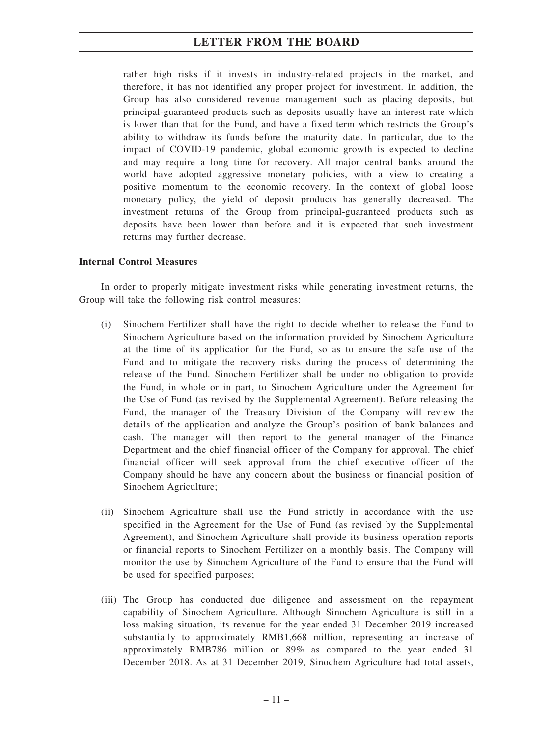rather high risks if it invests in industry-related projects in the market, and therefore, it has not identified any proper project for investment. In addition, the Group has also considered revenue management such as placing deposits, but principal-guaranteed products such as deposits usually have an interest rate which is lower than that for the Fund, and have a fixed term which restricts the Group's ability to withdraw its funds before the maturity date. In particular, due to the impact of COVID-19 pandemic, global economic growth is expected to decline and may require a long time for recovery. All major central banks around the world have adopted aggressive monetary policies, with a view to creating a positive momentum to the economic recovery. In the context of global loose monetary policy, the yield of deposit products has generally decreased. The investment returns of the Group from principal-guaranteed products such as deposits have been lower than before and it is expected that such investment returns may further decrease.

#### **Internal Control Measures**

In order to properly mitigate investment risks while generating investment returns, the Group will take the following risk control measures:

- (i) Sinochem Fertilizer shall have the right to decide whether to release the Fund to Sinochem Agriculture based on the information provided by Sinochem Agriculture at the time of its application for the Fund, so as to ensure the safe use of the Fund and to mitigate the recovery risks during the process of determining the release of the Fund. Sinochem Fertilizer shall be under no obligation to provide the Fund, in whole or in part, to Sinochem Agriculture under the Agreement for the Use of Fund (as revised by the Supplemental Agreement). Before releasing the Fund, the manager of the Treasury Division of the Company will review the details of the application and analyze the Group's position of bank balances and cash. The manager will then report to the general manager of the Finance Department and the chief financial officer of the Company for approval. The chief financial officer will seek approval from the chief executive officer of the Company should he have any concern about the business or financial position of Sinochem Agriculture;
- (ii) Sinochem Agriculture shall use the Fund strictly in accordance with the use specified in the Agreement for the Use of Fund (as revised by the Supplemental Agreement), and Sinochem Agriculture shall provide its business operation reports or financial reports to Sinochem Fertilizer on a monthly basis. The Company will monitor the use by Sinochem Agriculture of the Fund to ensure that the Fund will be used for specified purposes;
- (iii) The Group has conducted due diligence and assessment on the repayment capability of Sinochem Agriculture. Although Sinochem Agriculture is still in a loss making situation, its revenue for the year ended 31 December 2019 increased substantially to approximately RMB1,668 million, representing an increase of approximately RMB786 million or 89% as compared to the year ended 31 December 2018. As at 31 December 2019, Sinochem Agriculture had total assets,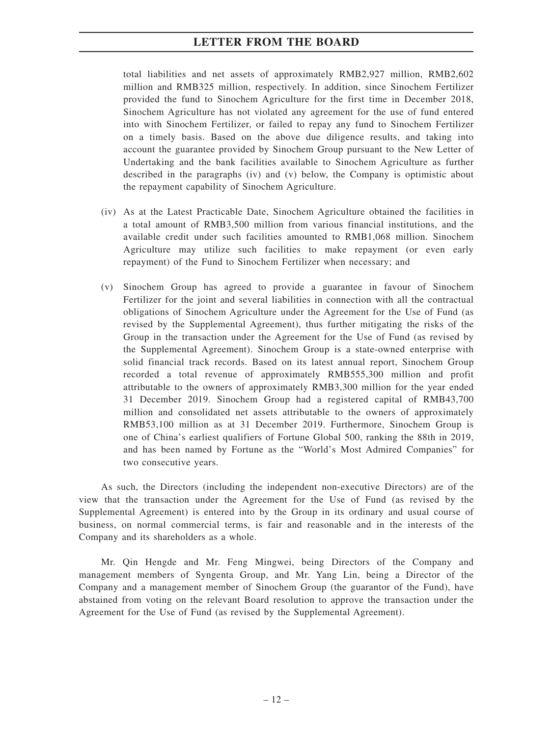total liabilities and net assets of approximately RMB2,927 million, RMB2,602 million and RMB325 million, respectively. In addition, since Sinochem Fertilizer provided the fund to Sinochem Agriculture for the first time in December 2018, Sinochem Agriculture has not violated any agreement for the use of fund entered into with Sinochem Fertilizer, or failed to repay any fund to Sinochem Fertilizer on a timely basis. Based on the above due diligence results, and taking into account the guarantee provided by Sinochem Group pursuant to the New Letter of Undertaking and the bank facilities available to Sinochem Agriculture as further described in the paragraphs (iv) and (v) below, the Company is optimistic about the repayment capability of Sinochem Agriculture.

- (iv) As at the Latest Practicable Date, Sinochem Agriculture obtained the facilities in a total amount of RMB3,500 million from various financial institutions, and the available credit under such facilities amounted to RMB1,068 million. Sinochem Agriculture may utilize such facilities to make repayment (or even early repayment) of the Fund to Sinochem Fertilizer when necessary; and
- (v) Sinochem Group has agreed to provide a guarantee in favour of Sinochem Fertilizer for the joint and several liabilities in connection with all the contractual obligations of Sinochem Agriculture under the Agreement for the Use of Fund (as revised by the Supplemental Agreement), thus further mitigating the risks of the Group in the transaction under the Agreement for the Use of Fund (as revised by the Supplemental Agreement). Sinochem Group is a state-owned enterprise with solid financial track records. Based on its latest annual report, Sinochem Group recorded a total revenue of approximately RMB555,300 million and profit attributable to the owners of approximately RMB3,300 million for the year ended 31 December 2019. Sinochem Group had a registered capital of RMB43,700 million and consolidated net assets attributable to the owners of approximately RMB53,100 million as at 31 December 2019. Furthermore, Sinochem Group is one of China's earliest qualifiers of Fortune Global 500, ranking the 88th in 2019, and has been named by Fortune as the "World's Most Admired Companies" for two consecutive years.

As such, the Directors (including the independent non-executive Directors) are of the view that the transaction under the Agreement for the Use of Fund (as revised by the Supplemental Agreement) is entered into by the Group in its ordinary and usual course of business, on normal commercial terms, is fair and reasonable and in the interests of the Company and its shareholders as a whole.

Mr. Qin Hengde and Mr. Feng Mingwei, being Directors of the Company and management members of Syngenta Group, and Mr. Yang Lin, being a Director of the Company and a management member of Sinochem Group (the guarantor of the Fund), have abstained from voting on the relevant Board resolution to approve the transaction under the Agreement for the Use of Fund (as revised by the Supplemental Agreement).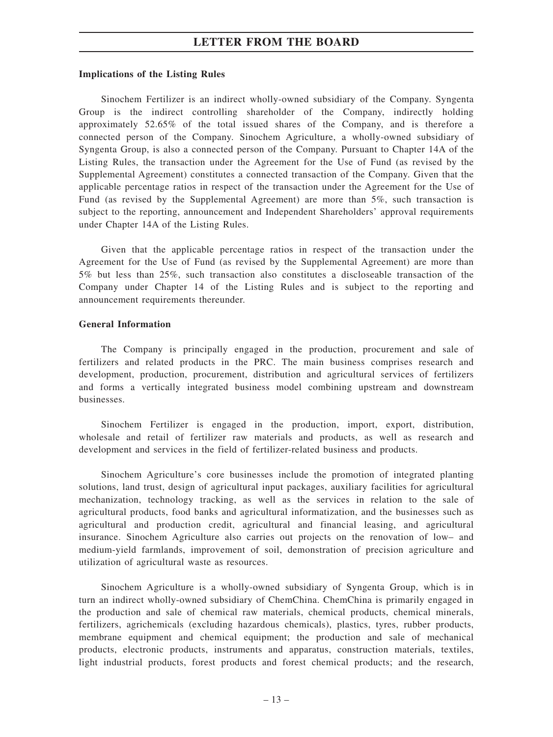#### **Implications of the Listing Rules**

Sinochem Fertilizer is an indirect wholly-owned subsidiary of the Company. Syngenta Group is the indirect controlling shareholder of the Company, indirectly holding approximately 52.65% of the total issued shares of the Company, and is therefore a connected person of the Company. Sinochem Agriculture, a wholly-owned subsidiary of Syngenta Group, is also a connected person of the Company. Pursuant to Chapter 14A of the Listing Rules, the transaction under the Agreement for the Use of Fund (as revised by the Supplemental Agreement) constitutes a connected transaction of the Company. Given that the applicable percentage ratios in respect of the transaction under the Agreement for the Use of Fund (as revised by the Supplemental Agreement) are more than 5%, such transaction is subject to the reporting, announcement and Independent Shareholders' approval requirements under Chapter 14A of the Listing Rules.

Given that the applicable percentage ratios in respect of the transaction under the Agreement for the Use of Fund (as revised by the Supplemental Agreement) are more than 5% but less than 25%, such transaction also constitutes a discloseable transaction of the Company under Chapter 14 of the Listing Rules and is subject to the reporting and announcement requirements thereunder.

#### **General Information**

The Company is principally engaged in the production, procurement and sale of fertilizers and related products in the PRC. The main business comprises research and development, production, procurement, distribution and agricultural services of fertilizers and forms a vertically integrated business model combining upstream and downstream businesses.

Sinochem Fertilizer is engaged in the production, import, export, distribution, wholesale and retail of fertilizer raw materials and products, as well as research and development and services in the field of fertilizer-related business and products.

Sinochem Agriculture's core businesses include the promotion of integrated planting solutions, land trust, design of agricultural input packages, auxiliary facilities for agricultural mechanization, technology tracking, as well as the services in relation to the sale of agricultural products, food banks and agricultural informatization, and the businesses such as agricultural and production credit, agricultural and financial leasing, and agricultural insurance. Sinochem Agriculture also carries out projects on the renovation of low– and medium-yield farmlands, improvement of soil, demonstration of precision agriculture and utilization of agricultural waste as resources.

Sinochem Agriculture is a wholly-owned subsidiary of Syngenta Group, which is in turn an indirect wholly-owned subsidiary of ChemChina. ChemChina is primarily engaged in the production and sale of chemical raw materials, chemical products, chemical minerals, fertilizers, agrichemicals (excluding hazardous chemicals), plastics, tyres, rubber products, membrane equipment and chemical equipment; the production and sale of mechanical products, electronic products, instruments and apparatus, construction materials, textiles, light industrial products, forest products and forest chemical products; and the research,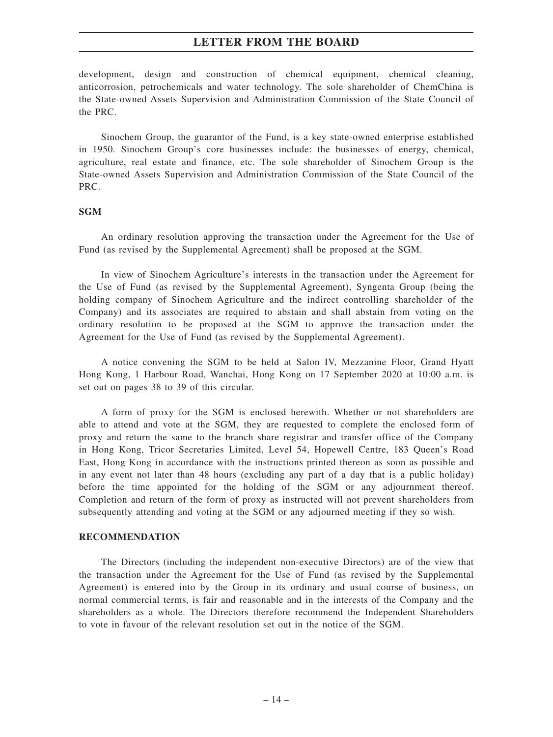development, design and construction of chemical equipment, chemical cleaning, anticorrosion, petrochemicals and water technology. The sole shareholder of ChemChina is the State-owned Assets Supervision and Administration Commission of the State Council of the PRC.

Sinochem Group, the guarantor of the Fund, is a key state-owned enterprise established in 1950. Sinochem Group's core businesses include: the businesses of energy, chemical, agriculture, real estate and finance, etc. The sole shareholder of Sinochem Group is the State-owned Assets Supervision and Administration Commission of the State Council of the PRC.

#### **SGM**

An ordinary resolution approving the transaction under the Agreement for the Use of Fund (as revised by the Supplemental Agreement) shall be proposed at the SGM.

In view of Sinochem Agriculture's interests in the transaction under the Agreement for the Use of Fund (as revised by the Supplemental Agreement), Syngenta Group (being the holding company of Sinochem Agriculture and the indirect controlling shareholder of the Company) and its associates are required to abstain and shall abstain from voting on the ordinary resolution to be proposed at the SGM to approve the transaction under the Agreement for the Use of Fund (as revised by the Supplemental Agreement).

A notice convening the SGM to be held at Salon IV, Mezzanine Floor, Grand Hyatt Hong Kong, 1 Harbour Road, Wanchai, Hong Kong on 17 September 2020 at 10:00 a.m. is set out on pages 38 to 39 of this circular.

A form of proxy for the SGM is enclosed herewith. Whether or not shareholders are able to attend and vote at the SGM, they are requested to complete the enclosed form of proxy and return the same to the branch share registrar and transfer office of the Company in Hong Kong, Tricor Secretaries Limited, Level 54, Hopewell Centre, 183 Queen's Road East, Hong Kong in accordance with the instructions printed thereon as soon as possible and in any event not later than 48 hours (excluding any part of a day that is a public holiday) before the time appointed for the holding of the SGM or any adjournment thereof. Completion and return of the form of proxy as instructed will not prevent shareholders from subsequently attending and voting at the SGM or any adjourned meeting if they so wish.

#### **RECOMMENDATION**

The Directors (including the independent non-executive Directors) are of the view that the transaction under the Agreement for the Use of Fund (as revised by the Supplemental Agreement) is entered into by the Group in its ordinary and usual course of business, on normal commercial terms, is fair and reasonable and in the interests of the Company and the shareholders as a whole. The Directors therefore recommend the Independent Shareholders to vote in favour of the relevant resolution set out in the notice of the SGM.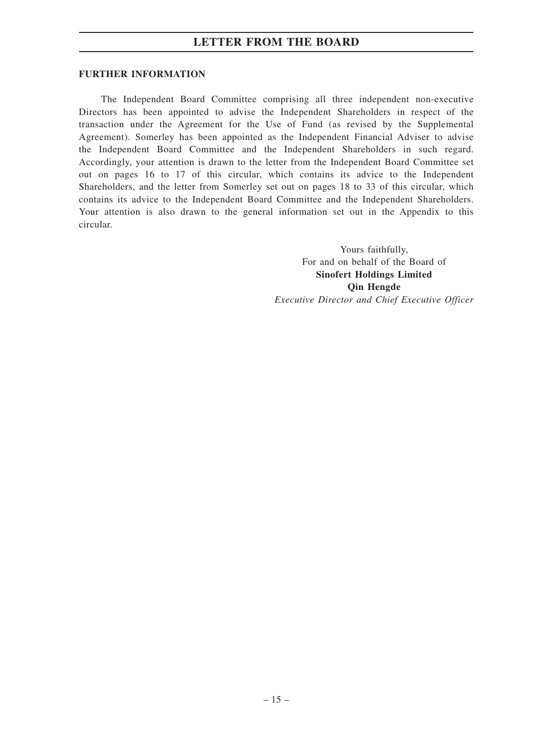#### **FURTHER INFORMATION**

The Independent Board Committee comprising all three independent non-executive Directors has been appointed to advise the Independent Shareholders in respect of the transaction under the Agreement for the Use of Fund (as revised by the Supplemental Agreement). Somerley has been appointed as the Independent Financial Adviser to advise the Independent Board Committee and the Independent Shareholders in such regard. Accordingly, your attention is drawn to the letter from the Independent Board Committee set out on pages 16 to 17 of this circular, which contains its advice to the Independent Shareholders, and the letter from Somerley set out on pages 18 to 33 of this circular, which contains its advice to the Independent Board Committee and the Independent Shareholders. Your attention is also drawn to the general information set out in the Appendix to this circular.

> Yours faithfully, For and on behalf of the Board of **Sinofert Holdings Limited Qin Hengde** *Executive Director and Chief Executive Officer*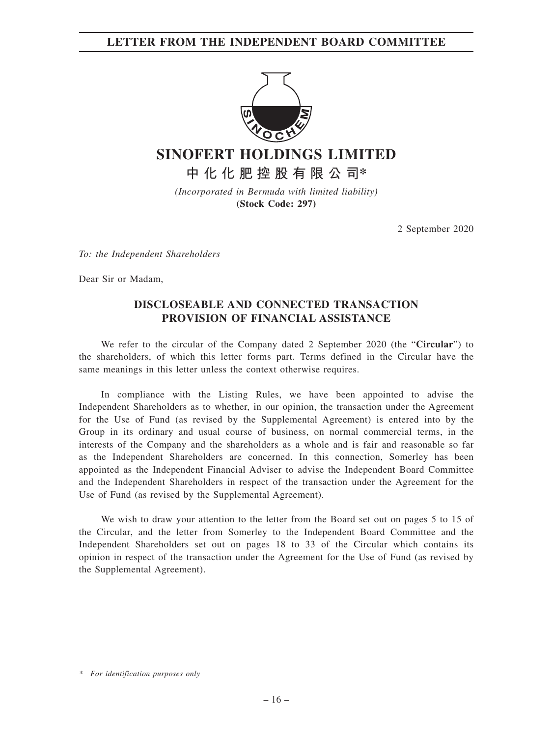**LETTER FROM THE INDEPENDENT BOARD COMMITTEE**



**SINOFERT HOLDINGS LIMITED**

**中化化肥控股有限公司\***

*(Incorporated in Bermuda with limited liability)* **(Stock Code: 297)**

2 September 2020

*To: the Independent Shareholders*

Dear Sir or Madam,

## **DISCLOSEABLE AND CONNECTED TRANSACTION PROVISION OF FINANCIAL ASSISTANCE**

We refer to the circular of the Company dated 2 September 2020 (the "**Circular**") to the shareholders, of which this letter forms part. Terms defined in the Circular have the same meanings in this letter unless the context otherwise requires.

In compliance with the Listing Rules, we have been appointed to advise the Independent Shareholders as to whether, in our opinion, the transaction under the Agreement for the Use of Fund (as revised by the Supplemental Agreement) is entered into by the Group in its ordinary and usual course of business, on normal commercial terms, in the interests of the Company and the shareholders as a whole and is fair and reasonable so far as the Independent Shareholders are concerned. In this connection, Somerley has been appointed as the Independent Financial Adviser to advise the Independent Board Committee and the Independent Shareholders in respect of the transaction under the Agreement for the Use of Fund (as revised by the Supplemental Agreement).

We wish to draw your attention to the letter from the Board set out on pages 5 to 15 of the Circular, and the letter from Somerley to the Independent Board Committee and the Independent Shareholders set out on pages 18 to 33 of the Circular which contains its opinion in respect of the transaction under the Agreement for the Use of Fund (as revised by the Supplemental Agreement).

*<sup>\*</sup> For identification purposes only*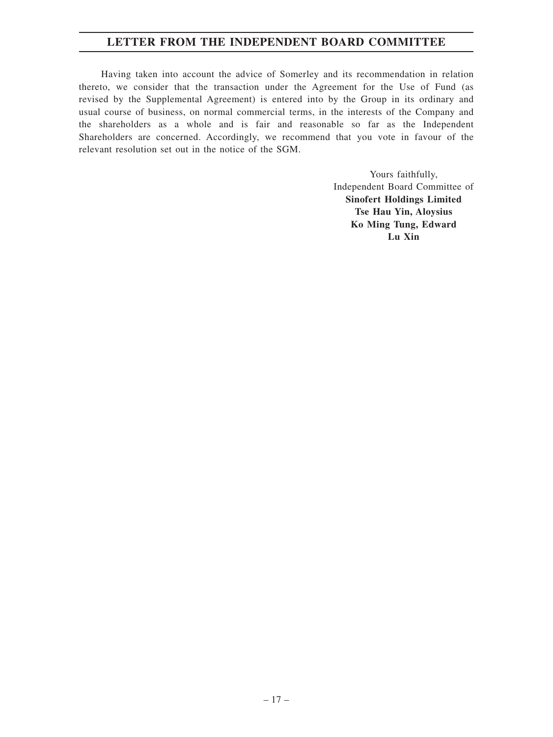## **LETTER FROM THE INDEPENDENT BOARD COMMITTEE**

Having taken into account the advice of Somerley and its recommendation in relation thereto, we consider that the transaction under the Agreement for the Use of Fund (as revised by the Supplemental Agreement) is entered into by the Group in its ordinary and usual course of business, on normal commercial terms, in the interests of the Company and the shareholders as a whole and is fair and reasonable so far as the Independent Shareholders are concerned. Accordingly, we recommend that you vote in favour of the relevant resolution set out in the notice of the SGM.

> Yours faithfully, Independent Board Committee of **Sinofert Holdings Limited Tse Hau Yin, Aloysius Ko Ming Tung, Edward Lu Xin**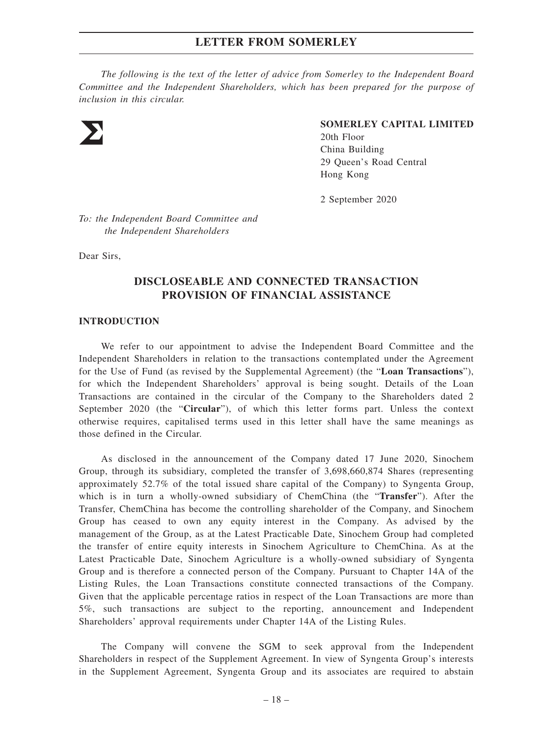*The following is the text of the letter of advice from Somerley to the Independent Board Committee and the Independent Shareholders, which has been prepared for the purpose of inclusion in this circular.*



#### **SOMERLEY CAPITAL LIMITED**

20th Floor China Building 29 Queen's Road Central Hong Kong

2 September 2020

*To: the Independent Board Committee and the Independent Shareholders*

Dear Sirs,

## **DISCLOSEABLE AND CONNECTED TRANSACTION PROVISION OF FINANCIAL ASSISTANCE**

#### **INTRODUCTION**

We refer to our appointment to advise the Independent Board Committee and the Independent Shareholders in relation to the transactions contemplated under the Agreement for the Use of Fund (as revised by the Supplemental Agreement) (the "**Loan Transactions**"), for which the Independent Shareholders' approval is being sought. Details of the Loan Transactions are contained in the circular of the Company to the Shareholders dated 2 September 2020 (the "**Circular**"), of which this letter forms part. Unless the context otherwise requires, capitalised terms used in this letter shall have the same meanings as those defined in the Circular.

As disclosed in the announcement of the Company dated 17 June 2020, Sinochem Group, through its subsidiary, completed the transfer of 3,698,660,874 Shares (representing approximately 52.7% of the total issued share capital of the Company) to Syngenta Group, which is in turn a wholly-owned subsidiary of ChemChina (the "**Transfer**"). After the Transfer, ChemChina has become the controlling shareholder of the Company, and Sinochem Group has ceased to own any equity interest in the Company. As advised by the management of the Group, as at the Latest Practicable Date, Sinochem Group had completed the transfer of entire equity interests in Sinochem Agriculture to ChemChina. As at the Latest Practicable Date, Sinochem Agriculture is a wholly-owned subsidiary of Syngenta Group and is therefore a connected person of the Company. Pursuant to Chapter 14A of the Listing Rules, the Loan Transactions constitute connected transactions of the Company. Given that the applicable percentage ratios in respect of the Loan Transactions are more than 5%, such transactions are subject to the reporting, announcement and Independent Shareholders' approval requirements under Chapter 14A of the Listing Rules.

The Company will convene the SGM to seek approval from the Independent Shareholders in respect of the Supplement Agreement. In view of Syngenta Group's interests in the Supplement Agreement, Syngenta Group and its associates are required to abstain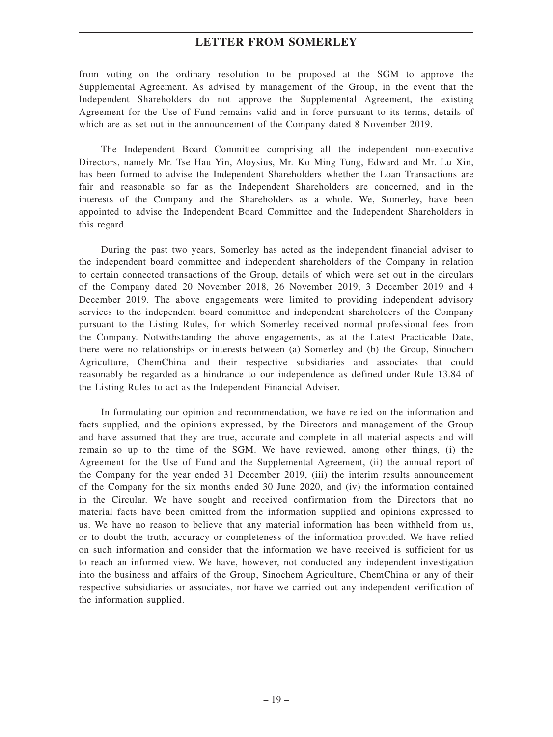from voting on the ordinary resolution to be proposed at the SGM to approve the Supplemental Agreement. As advised by management of the Group, in the event that the Independent Shareholders do not approve the Supplemental Agreement, the existing Agreement for the Use of Fund remains valid and in force pursuant to its terms, details of which are as set out in the announcement of the Company dated 8 November 2019.

The Independent Board Committee comprising all the independent non-executive Directors, namely Mr. Tse Hau Yin, Aloysius, Mr. Ko Ming Tung, Edward and Mr. Lu Xin, has been formed to advise the Independent Shareholders whether the Loan Transactions are fair and reasonable so far as the Independent Shareholders are concerned, and in the interests of the Company and the Shareholders as a whole. We, Somerley, have been appointed to advise the Independent Board Committee and the Independent Shareholders in this regard.

During the past two years, Somerley has acted as the independent financial adviser to the independent board committee and independent shareholders of the Company in relation to certain connected transactions of the Group, details of which were set out in the circulars of the Company dated 20 November 2018, 26 November 2019, 3 December 2019 and 4 December 2019. The above engagements were limited to providing independent advisory services to the independent board committee and independent shareholders of the Company pursuant to the Listing Rules, for which Somerley received normal professional fees from the Company. Notwithstanding the above engagements, as at the Latest Practicable Date, there were no relationships or interests between (a) Somerley and (b) the Group, Sinochem Agriculture, ChemChina and their respective subsidiaries and associates that could reasonably be regarded as a hindrance to our independence as defined under Rule 13.84 of the Listing Rules to act as the Independent Financial Adviser.

In formulating our opinion and recommendation, we have relied on the information and facts supplied, and the opinions expressed, by the Directors and management of the Group and have assumed that they are true, accurate and complete in all material aspects and will remain so up to the time of the SGM. We have reviewed, among other things, (i) the Agreement for the Use of Fund and the Supplemental Agreement, (ii) the annual report of the Company for the year ended 31 December 2019, (iii) the interim results announcement of the Company for the six months ended 30 June 2020, and (iv) the information contained in the Circular. We have sought and received confirmation from the Directors that no material facts have been omitted from the information supplied and opinions expressed to us. We have no reason to believe that any material information has been withheld from us, or to doubt the truth, accuracy or completeness of the information provided. We have relied on such information and consider that the information we have received is sufficient for us to reach an informed view. We have, however, not conducted any independent investigation into the business and affairs of the Group, Sinochem Agriculture, ChemChina or any of their respective subsidiaries or associates, nor have we carried out any independent verification of the information supplied.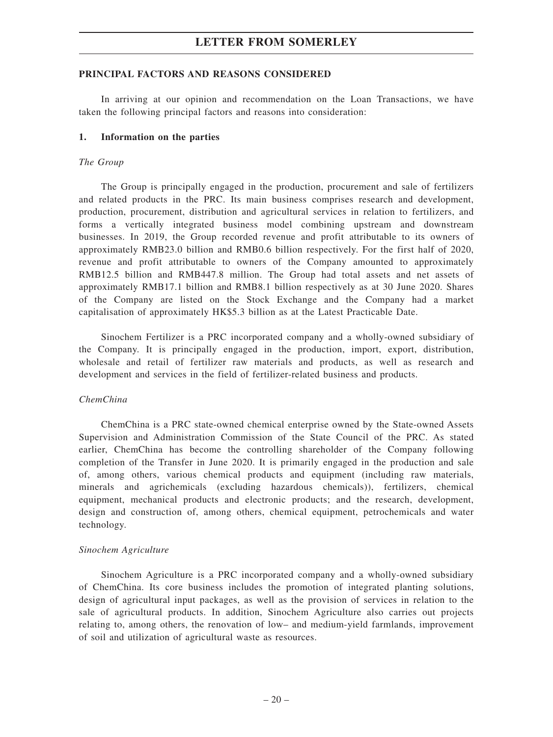### **PRINCIPAL FACTORS AND REASONS CONSIDERED**

In arriving at our opinion and recommendation on the Loan Transactions, we have taken the following principal factors and reasons into consideration:

#### **1. Information on the parties**

#### *The Group*

The Group is principally engaged in the production, procurement and sale of fertilizers and related products in the PRC. Its main business comprises research and development, production, procurement, distribution and agricultural services in relation to fertilizers, and forms a vertically integrated business model combining upstream and downstream businesses. In 2019, the Group recorded revenue and profit attributable to its owners of approximately RMB23.0 billion and RMB0.6 billion respectively. For the first half of 2020, revenue and profit attributable to owners of the Company amounted to approximately RMB12.5 billion and RMB447.8 million. The Group had total assets and net assets of approximately RMB17.1 billion and RMB8.1 billion respectively as at 30 June 2020. Shares of the Company are listed on the Stock Exchange and the Company had a market capitalisation of approximately HK\$5.3 billion as at the Latest Practicable Date.

Sinochem Fertilizer is a PRC incorporated company and a wholly-owned subsidiary of the Company. It is principally engaged in the production, import, export, distribution, wholesale and retail of fertilizer raw materials and products, as well as research and development and services in the field of fertilizer-related business and products.

#### *ChemChina*

ChemChina is a PRC state-owned chemical enterprise owned by the State-owned Assets Supervision and Administration Commission of the State Council of the PRC. As stated earlier, ChemChina has become the controlling shareholder of the Company following completion of the Transfer in June 2020. It is primarily engaged in the production and sale of, among others, various chemical products and equipment (including raw materials, minerals and agrichemicals (excluding hazardous chemicals)), fertilizers, chemical equipment, mechanical products and electronic products; and the research, development, design and construction of, among others, chemical equipment, petrochemicals and water technology.

#### *Sinochem Agriculture*

Sinochem Agriculture is a PRC incorporated company and a wholly-owned subsidiary of ChemChina. Its core business includes the promotion of integrated planting solutions, design of agricultural input packages, as well as the provision of services in relation to the sale of agricultural products. In addition, Sinochem Agriculture also carries out projects relating to, among others, the renovation of low– and medium-yield farmlands, improvement of soil and utilization of agricultural waste as resources.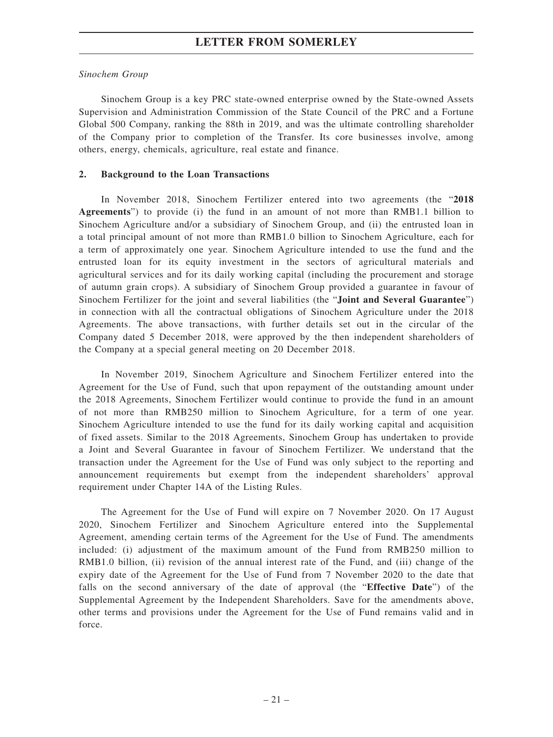## *Sinochem Group*

Sinochem Group is a key PRC state-owned enterprise owned by the State-owned Assets Supervision and Administration Commission of the State Council of the PRC and a Fortune Global 500 Company, ranking the 88th in 2019, and was the ultimate controlling shareholder of the Company prior to completion of the Transfer. Its core businesses involve, among others, energy, chemicals, agriculture, real estate and finance.

## **2. Background to the Loan Transactions**

In November 2018, Sinochem Fertilizer entered into two agreements (the "**2018 Agreements**") to provide (i) the fund in an amount of not more than RMB1.1 billion to Sinochem Agriculture and/or a subsidiary of Sinochem Group, and (ii) the entrusted loan in a total principal amount of not more than RMB1.0 billion to Sinochem Agriculture, each for a term of approximately one year. Sinochem Agriculture intended to use the fund and the entrusted loan for its equity investment in the sectors of agricultural materials and agricultural services and for its daily working capital (including the procurement and storage of autumn grain crops). A subsidiary of Sinochem Group provided a guarantee in favour of Sinochem Fertilizer for the joint and several liabilities (the "**Joint and Several Guarantee**") in connection with all the contractual obligations of Sinochem Agriculture under the 2018 Agreements. The above transactions, with further details set out in the circular of the Company dated 5 December 2018, were approved by the then independent shareholders of the Company at a special general meeting on 20 December 2018.

In November 2019, Sinochem Agriculture and Sinochem Fertilizer entered into the Agreement for the Use of Fund, such that upon repayment of the outstanding amount under the 2018 Agreements, Sinochem Fertilizer would continue to provide the fund in an amount of not more than RMB250 million to Sinochem Agriculture, for a term of one year. Sinochem Agriculture intended to use the fund for its daily working capital and acquisition of fixed assets. Similar to the 2018 Agreements, Sinochem Group has undertaken to provide a Joint and Several Guarantee in favour of Sinochem Fertilizer. We understand that the transaction under the Agreement for the Use of Fund was only subject to the reporting and announcement requirements but exempt from the independent shareholders' approval requirement under Chapter 14A of the Listing Rules.

The Agreement for the Use of Fund will expire on 7 November 2020. On 17 August 2020, Sinochem Fertilizer and Sinochem Agriculture entered into the Supplemental Agreement, amending certain terms of the Agreement for the Use of Fund. The amendments included: (i) adjustment of the maximum amount of the Fund from RMB250 million to RMB1.0 billion, (ii) revision of the annual interest rate of the Fund, and (iii) change of the expiry date of the Agreement for the Use of Fund from 7 November 2020 to the date that falls on the second anniversary of the date of approval (the "**Effective Date**") of the Supplemental Agreement by the Independent Shareholders. Save for the amendments above, other terms and provisions under the Agreement for the Use of Fund remains valid and in force.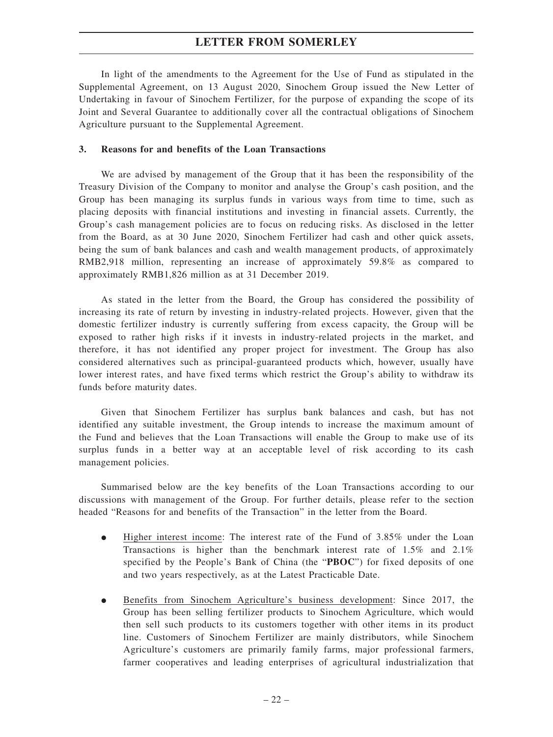In light of the amendments to the Agreement for the Use of Fund as stipulated in the Supplemental Agreement, on 13 August 2020, Sinochem Group issued the New Letter of Undertaking in favour of Sinochem Fertilizer, for the purpose of expanding the scope of its Joint and Several Guarantee to additionally cover all the contractual obligations of Sinochem Agriculture pursuant to the Supplemental Agreement.

#### **3. Reasons for and benefits of the Loan Transactions**

We are advised by management of the Group that it has been the responsibility of the Treasury Division of the Company to monitor and analyse the Group's cash position, and the Group has been managing its surplus funds in various ways from time to time, such as placing deposits with financial institutions and investing in financial assets. Currently, the Group's cash management policies are to focus on reducing risks. As disclosed in the letter from the Board, as at 30 June 2020, Sinochem Fertilizer had cash and other quick assets, being the sum of bank balances and cash and wealth management products, of approximately RMB2,918 million, representing an increase of approximately 59.8% as compared to approximately RMB1,826 million as at 31 December 2019.

As stated in the letter from the Board, the Group has considered the possibility of increasing its rate of return by investing in industry-related projects. However, given that the domestic fertilizer industry is currently suffering from excess capacity, the Group will be exposed to rather high risks if it invests in industry-related projects in the market, and therefore, it has not identified any proper project for investment. The Group has also considered alternatives such as principal-guaranteed products which, however, usually have lower interest rates, and have fixed terms which restrict the Group's ability to withdraw its funds before maturity dates.

Given that Sinochem Fertilizer has surplus bank balances and cash, but has not identified any suitable investment, the Group intends to increase the maximum amount of the Fund and believes that the Loan Transactions will enable the Group to make use of its surplus funds in a better way at an acceptable level of risk according to its cash management policies.

Summarised below are the key benefits of the Loan Transactions according to our discussions with management of the Group. For further details, please refer to the section headed "Reasons for and benefits of the Transaction" in the letter from the Board.

- $\bullet$  Higher interest income: The interest rate of the Fund of 3.85% under the Loan Transactions is higher than the benchmark interest rate of 1.5% and 2.1% specified by the People's Bank of China (the "**PBOC**") for fixed deposits of one and two years respectively, as at the Latest Practicable Date.
- $\bullet$  Benefits from Sinochem Agriculture's business development: Since 2017, the Group has been selling fertilizer products to Sinochem Agriculture, which would then sell such products to its customers together with other items in its product line. Customers of Sinochem Fertilizer are mainly distributors, while Sinochem Agriculture's customers are primarily family farms, major professional farmers, farmer cooperatives and leading enterprises of agricultural industrialization that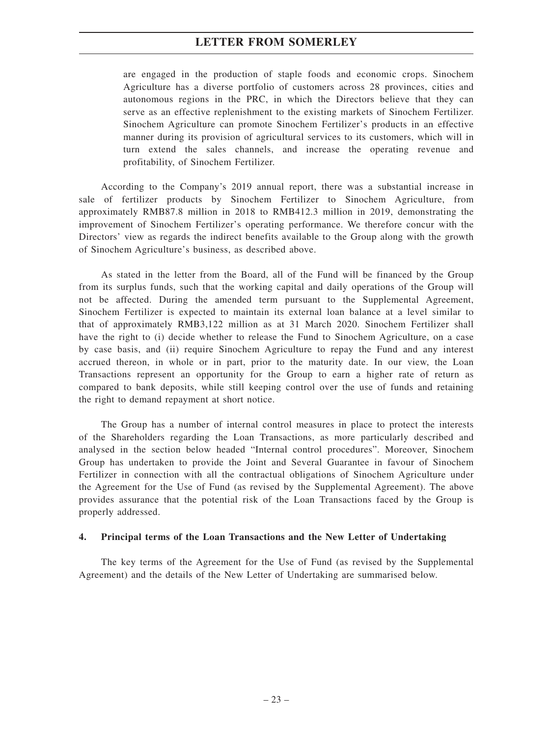are engaged in the production of staple foods and economic crops. Sinochem Agriculture has a diverse portfolio of customers across 28 provinces, cities and autonomous regions in the PRC, in which the Directors believe that they can serve as an effective replenishment to the existing markets of Sinochem Fertilizer. Sinochem Agriculture can promote Sinochem Fertilizer's products in an effective manner during its provision of agricultural services to its customers, which will in turn extend the sales channels, and increase the operating revenue and profitability, of Sinochem Fertilizer.

According to the Company's 2019 annual report, there was a substantial increase in sale of fertilizer products by Sinochem Fertilizer to Sinochem Agriculture, from approximately RMB87.8 million in 2018 to RMB412.3 million in 2019, demonstrating the improvement of Sinochem Fertilizer's operating performance. We therefore concur with the Directors' view as regards the indirect benefits available to the Group along with the growth of Sinochem Agriculture's business, as described above.

As stated in the letter from the Board, all of the Fund will be financed by the Group from its surplus funds, such that the working capital and daily operations of the Group will not be affected. During the amended term pursuant to the Supplemental Agreement, Sinochem Fertilizer is expected to maintain its external loan balance at a level similar to that of approximately RMB3,122 million as at 31 March 2020. Sinochem Fertilizer shall have the right to (i) decide whether to release the Fund to Sinochem Agriculture, on a case by case basis, and (ii) require Sinochem Agriculture to repay the Fund and any interest accrued thereon, in whole or in part, prior to the maturity date. In our view, the Loan Transactions represent an opportunity for the Group to earn a higher rate of return as compared to bank deposits, while still keeping control over the use of funds and retaining the right to demand repayment at short notice.

The Group has a number of internal control measures in place to protect the interests of the Shareholders regarding the Loan Transactions, as more particularly described and analysed in the section below headed "Internal control procedures". Moreover, Sinochem Group has undertaken to provide the Joint and Several Guarantee in favour of Sinochem Fertilizer in connection with all the contractual obligations of Sinochem Agriculture under the Agreement for the Use of Fund (as revised by the Supplemental Agreement). The above provides assurance that the potential risk of the Loan Transactions faced by the Group is properly addressed.

#### **4. Principal terms of the Loan Transactions and the New Letter of Undertaking**

The key terms of the Agreement for the Use of Fund (as revised by the Supplemental Agreement) and the details of the New Letter of Undertaking are summarised below.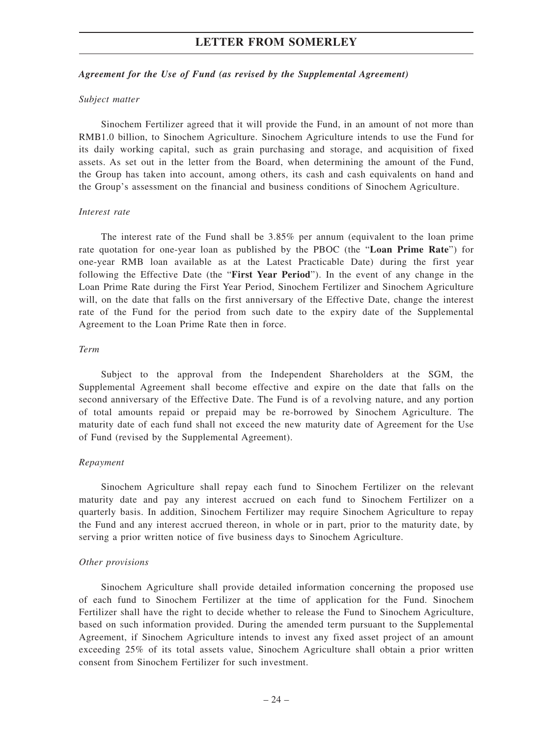#### *Agreement for the Use of Fund (as revised by the Supplemental Agreement)*

#### *Subject matter*

Sinochem Fertilizer agreed that it will provide the Fund, in an amount of not more than RMB1.0 billion, to Sinochem Agriculture. Sinochem Agriculture intends to use the Fund for its daily working capital, such as grain purchasing and storage, and acquisition of fixed assets. As set out in the letter from the Board, when determining the amount of the Fund, the Group has taken into account, among others, its cash and cash equivalents on hand and the Group's assessment on the financial and business conditions of Sinochem Agriculture.

#### *Interest rate*

The interest rate of the Fund shall be 3.85% per annum (equivalent to the loan prime rate quotation for one-year loan as published by the PBOC (the "**Loan Prime Rate**") for one-year RMB loan available as at the Latest Practicable Date) during the first year following the Effective Date (the "**First Year Period**"). In the event of any change in the Loan Prime Rate during the First Year Period, Sinochem Fertilizer and Sinochem Agriculture will, on the date that falls on the first anniversary of the Effective Date, change the interest rate of the Fund for the period from such date to the expiry date of the Supplemental Agreement to the Loan Prime Rate then in force.

#### *Term*

Subject to the approval from the Independent Shareholders at the SGM, the Supplemental Agreement shall become effective and expire on the date that falls on the second anniversary of the Effective Date. The Fund is of a revolving nature, and any portion of total amounts repaid or prepaid may be re-borrowed by Sinochem Agriculture. The maturity date of each fund shall not exceed the new maturity date of Agreement for the Use of Fund (revised by the Supplemental Agreement).

#### *Repayment*

Sinochem Agriculture shall repay each fund to Sinochem Fertilizer on the relevant maturity date and pay any interest accrued on each fund to Sinochem Fertilizer on a quarterly basis. In addition, Sinochem Fertilizer may require Sinochem Agriculture to repay the Fund and any interest accrued thereon, in whole or in part, prior to the maturity date, by serving a prior written notice of five business days to Sinochem Agriculture.

#### *Other provisions*

Sinochem Agriculture shall provide detailed information concerning the proposed use of each fund to Sinochem Fertilizer at the time of application for the Fund. Sinochem Fertilizer shall have the right to decide whether to release the Fund to Sinochem Agriculture, based on such information provided. During the amended term pursuant to the Supplemental Agreement, if Sinochem Agriculture intends to invest any fixed asset project of an amount exceeding 25% of its total assets value, Sinochem Agriculture shall obtain a prior written consent from Sinochem Fertilizer for such investment.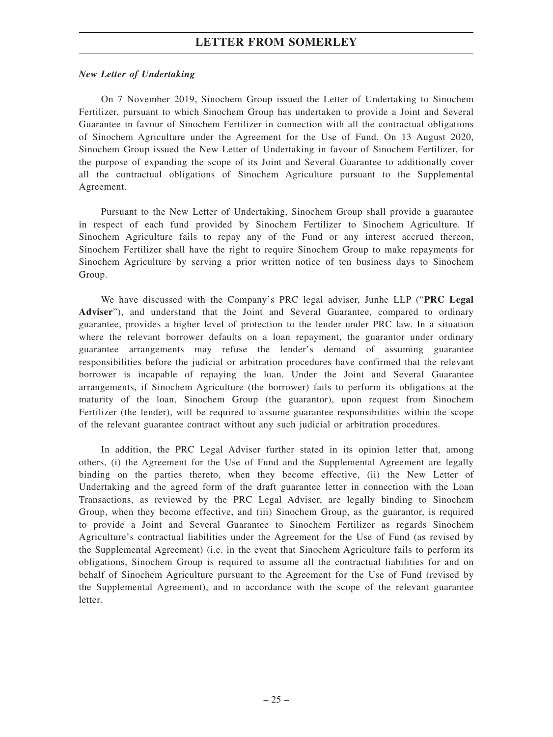#### *New Letter of Undertaking*

On 7 November 2019, Sinochem Group issued the Letter of Undertaking to Sinochem Fertilizer, pursuant to which Sinochem Group has undertaken to provide a Joint and Several Guarantee in favour of Sinochem Fertilizer in connection with all the contractual obligations of Sinochem Agriculture under the Agreement for the Use of Fund. On 13 August 2020, Sinochem Group issued the New Letter of Undertaking in favour of Sinochem Fertilizer, for the purpose of expanding the scope of its Joint and Several Guarantee to additionally cover all the contractual obligations of Sinochem Agriculture pursuant to the Supplemental Agreement.

Pursuant to the New Letter of Undertaking, Sinochem Group shall provide a guarantee in respect of each fund provided by Sinochem Fertilizer to Sinochem Agriculture. If Sinochem Agriculture fails to repay any of the Fund or any interest accrued thereon, Sinochem Fertilizer shall have the right to require Sinochem Group to make repayments for Sinochem Agriculture by serving a prior written notice of ten business days to Sinochem Group.

We have discussed with the Company's PRC legal adviser, Junhe LLP ("**PRC Legal Adviser**"), and understand that the Joint and Several Guarantee, compared to ordinary guarantee, provides a higher level of protection to the lender under PRC law. In a situation where the relevant borrower defaults on a loan repayment, the guarantor under ordinary guarantee arrangements may refuse the lender's demand of assuming guarantee responsibilities before the judicial or arbitration procedures have confirmed that the relevant borrower is incapable of repaying the loan. Under the Joint and Several Guarantee arrangements, if Sinochem Agriculture (the borrower) fails to perform its obligations at the maturity of the loan, Sinochem Group (the guarantor), upon request from Sinochem Fertilizer (the lender), will be required to assume guarantee responsibilities within the scope of the relevant guarantee contract without any such judicial or arbitration procedures.

In addition, the PRC Legal Adviser further stated in its opinion letter that, among others, (i) the Agreement for the Use of Fund and the Supplemental Agreement are legally binding on the parties thereto, when they become effective, (ii) the New Letter of Undertaking and the agreed form of the draft guarantee letter in connection with the Loan Transactions, as reviewed by the PRC Legal Adviser, are legally binding to Sinochem Group, when they become effective, and (iii) Sinochem Group, as the guarantor, is required to provide a Joint and Several Guarantee to Sinochem Fertilizer as regards Sinochem Agriculture's contractual liabilities under the Agreement for the Use of Fund (as revised by the Supplemental Agreement) (i.e. in the event that Sinochem Agriculture fails to perform its obligations, Sinochem Group is required to assume all the contractual liabilities for and on behalf of Sinochem Agriculture pursuant to the Agreement for the Use of Fund (revised by the Supplemental Agreement), and in accordance with the scope of the relevant guarantee letter.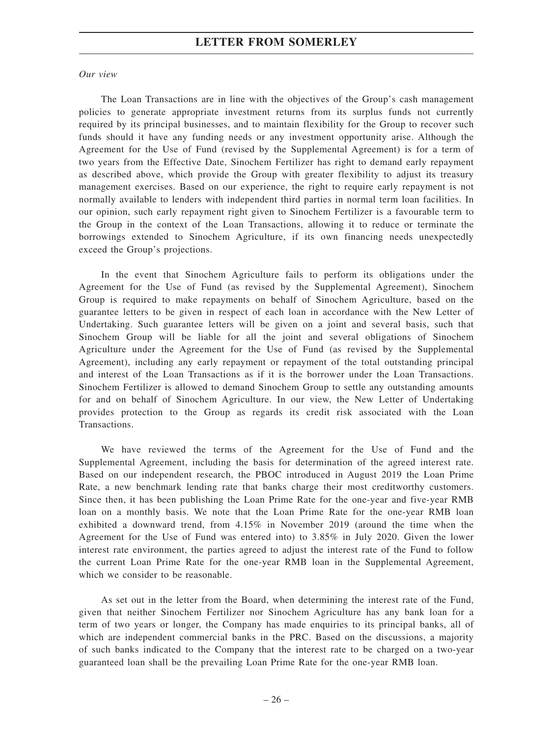#### *Our view*

The Loan Transactions are in line with the objectives of the Group's cash management policies to generate appropriate investment returns from its surplus funds not currently required by its principal businesses, and to maintain flexibility for the Group to recover such funds should it have any funding needs or any investment opportunity arise. Although the Agreement for the Use of Fund (revised by the Supplemental Agreement) is for a term of two years from the Effective Date, Sinochem Fertilizer has right to demand early repayment as described above, which provide the Group with greater flexibility to adjust its treasury management exercises. Based on our experience, the right to require early repayment is not normally available to lenders with independent third parties in normal term loan facilities. In our opinion, such early repayment right given to Sinochem Fertilizer is a favourable term to the Group in the context of the Loan Transactions, allowing it to reduce or terminate the borrowings extended to Sinochem Agriculture, if its own financing needs unexpectedly exceed the Group's projections.

In the event that Sinochem Agriculture fails to perform its obligations under the Agreement for the Use of Fund (as revised by the Supplemental Agreement), Sinochem Group is required to make repayments on behalf of Sinochem Agriculture, based on the guarantee letters to be given in respect of each loan in accordance with the New Letter of Undertaking. Such guarantee letters will be given on a joint and several basis, such that Sinochem Group will be liable for all the joint and several obligations of Sinochem Agriculture under the Agreement for the Use of Fund (as revised by the Supplemental Agreement), including any early repayment or repayment of the total outstanding principal and interest of the Loan Transactions as if it is the borrower under the Loan Transactions. Sinochem Fertilizer is allowed to demand Sinochem Group to settle any outstanding amounts for and on behalf of Sinochem Agriculture. In our view, the New Letter of Undertaking provides protection to the Group as regards its credit risk associated with the Loan Transactions.

We have reviewed the terms of the Agreement for the Use of Fund and the Supplemental Agreement, including the basis for determination of the agreed interest rate. Based on our independent research, the PBOC introduced in August 2019 the Loan Prime Rate, a new benchmark lending rate that banks charge their most creditworthy customers. Since then, it has been publishing the Loan Prime Rate for the one-year and five-year RMB loan on a monthly basis. We note that the Loan Prime Rate for the one-year RMB loan exhibited a downward trend, from 4.15% in November 2019 (around the time when the Agreement for the Use of Fund was entered into) to 3.85% in July 2020. Given the lower interest rate environment, the parties agreed to adjust the interest rate of the Fund to follow the current Loan Prime Rate for the one-year RMB loan in the Supplemental Agreement, which we consider to be reasonable.

As set out in the letter from the Board, when determining the interest rate of the Fund, given that neither Sinochem Fertilizer nor Sinochem Agriculture has any bank loan for a term of two years or longer, the Company has made enquiries to its principal banks, all of which are independent commercial banks in the PRC. Based on the discussions, a majority of such banks indicated to the Company that the interest rate to be charged on a two-year guaranteed loan shall be the prevailing Loan Prime Rate for the one-year RMB loan.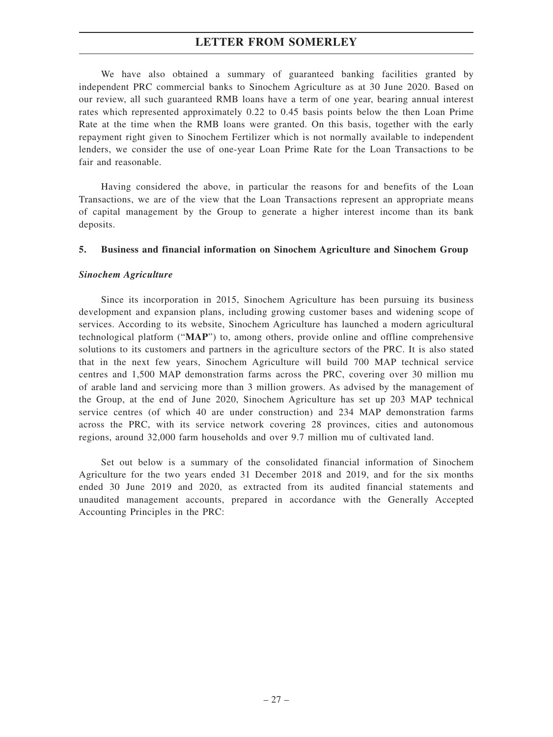We have also obtained a summary of guaranteed banking facilities granted by independent PRC commercial banks to Sinochem Agriculture as at 30 June 2020. Based on our review, all such guaranteed RMB loans have a term of one year, bearing annual interest rates which represented approximately 0.22 to 0.45 basis points below the then Loan Prime Rate at the time when the RMB loans were granted. On this basis, together with the early repayment right given to Sinochem Fertilizer which is not normally available to independent lenders, we consider the use of one-year Loan Prime Rate for the Loan Transactions to be fair and reasonable.

Having considered the above, in particular the reasons for and benefits of the Loan Transactions, we are of the view that the Loan Transactions represent an appropriate means of capital management by the Group to generate a higher interest income than its bank deposits.

#### **5. Business and financial information on Sinochem Agriculture and Sinochem Group**

#### *Sinochem Agriculture*

Since its incorporation in 2015, Sinochem Agriculture has been pursuing its business development and expansion plans, including growing customer bases and widening scope of services. According to its website, Sinochem Agriculture has launched a modern agricultural technological platform ("**MAP**") to, among others, provide online and offline comprehensive solutions to its customers and partners in the agriculture sectors of the PRC. It is also stated that in the next few years, Sinochem Agriculture will build 700 MAP technical service centres and 1,500 MAP demonstration farms across the PRC, covering over 30 million mu of arable land and servicing more than 3 million growers. As advised by the management of the Group, at the end of June 2020, Sinochem Agriculture has set up 203 MAP technical service centres (of which 40 are under construction) and 234 MAP demonstration farms across the PRC, with its service network covering 28 provinces, cities and autonomous regions, around 32,000 farm households and over 9.7 million mu of cultivated land.

Set out below is a summary of the consolidated financial information of Sinochem Agriculture for the two years ended 31 December 2018 and 2019, and for the six months ended 30 June 2019 and 2020, as extracted from its audited financial statements and unaudited management accounts, prepared in accordance with the Generally Accepted Accounting Principles in the PRC: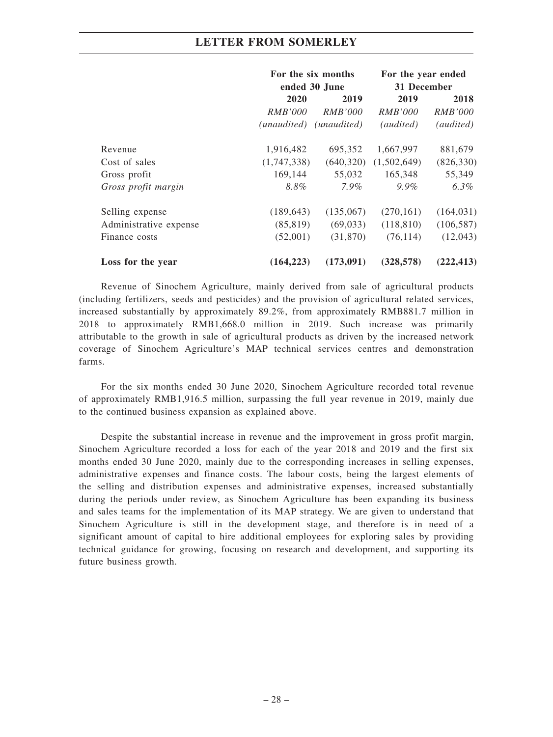|                        | For the six months<br>ended 30 June |                | For the year ended<br>31 December |                |
|------------------------|-------------------------------------|----------------|-----------------------------------|----------------|
|                        | 2020                                | 2019           | 2019                              | 2018           |
|                        | <i>RMB'000</i>                      | <i>RMB'000</i> | <i>RMB'000</i>                    | <i>RMB'000</i> |
|                        | (unaudited)                         | (unaudited)    | (audited)                         | (audited)      |
| Revenue                | 1,916,482                           | 695,352        | 1,667,997                         | 881,679        |
| Cost of sales          | (1,747,338)                         | (640,320)      | (1,502,649)                       | (826, 330)     |
| Gross profit           | 169,144                             | 55,032         | 165,348                           | 55,349         |
| Gross profit margin    | 8.8%                                | $7.9\%$        | $9.9\%$                           | $6.3\%$        |
| Selling expense        | (189, 643)                          | (135,067)      | (270, 161)                        | (164, 031)     |
| Administrative expense | (85, 819)                           | (69,033)       | (118, 810)                        | (106, 587)     |
| Finance costs          | (52,001)                            | (31,870)       | (76, 114)                         | (12,043)       |
| Loss for the year      | (164, 223)                          | (173,091)      | (328, 578)                        | (222, 413)     |

Revenue of Sinochem Agriculture, mainly derived from sale of agricultural products (including fertilizers, seeds and pesticides) and the provision of agricultural related services, increased substantially by approximately 89.2%, from approximately RMB881.7 million in 2018 to approximately RMB1,668.0 million in 2019. Such increase was primarily attributable to the growth in sale of agricultural products as driven by the increased network coverage of Sinochem Agriculture's MAP technical services centres and demonstration farms.

For the six months ended 30 June 2020, Sinochem Agriculture recorded total revenue of approximately RMB1,916.5 million, surpassing the full year revenue in 2019, mainly due to the continued business expansion as explained above.

Despite the substantial increase in revenue and the improvement in gross profit margin, Sinochem Agriculture recorded a loss for each of the year 2018 and 2019 and the first six months ended 30 June 2020, mainly due to the corresponding increases in selling expenses, administrative expenses and finance costs. The labour costs, being the largest elements of the selling and distribution expenses and administrative expenses, increased substantially during the periods under review, as Sinochem Agriculture has been expanding its business and sales teams for the implementation of its MAP strategy. We are given to understand that Sinochem Agriculture is still in the development stage, and therefore is in need of a significant amount of capital to hire additional employees for exploring sales by providing technical guidance for growing, focusing on research and development, and supporting its future business growth.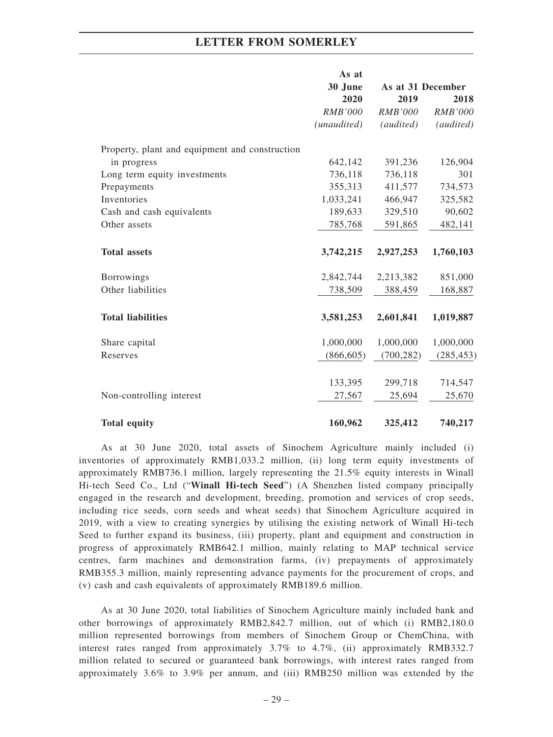|                                                | As at          |                   |                |
|------------------------------------------------|----------------|-------------------|----------------|
|                                                | 30 June        | As at 31 December |                |
|                                                | 2020           | 2019              | 2018           |
|                                                | <b>RMB'000</b> | <b>RMB'000</b>    | <b>RMB'000</b> |
|                                                | (unaudited)    | (audited)         | (audited)      |
| Property, plant and equipment and construction |                |                   |                |
| in progress                                    | 642,142        | 391,236           | 126,904        |
| Long term equity investments                   | 736,118        | 736,118           | 301            |
| Prepayments                                    | 355,313        | 411,577           | 734,573        |
| Inventories                                    | 1,033,241      | 466,947           | 325,582        |
| Cash and cash equivalents                      | 189,633        | 329,510           | 90,602         |
| Other assets                                   | 785,768        | 591,865           | 482,141        |
| <b>Total assets</b>                            | 3,742,215      | 2,927,253         | 1,760,103      |
| <b>Borrowings</b>                              | 2,842,744      | 2,213,382         | 851,000        |
| Other liabilities                              | 738,509        | 388,459           | 168,887        |
| <b>Total liabilities</b>                       | 3,581,253      | 2,601,841         | 1,019,887      |
| Share capital                                  | 1,000,000      | 1,000,000         | 1,000,000      |
| Reserves                                       | (866, 605)     | (700, 282)        | (285, 453)     |
|                                                | 133,395        | 299,718           | 714,547        |
| Non-controlling interest                       | 27,567         | 25,694            | 25,670         |
| <b>Total equity</b>                            | 160,962        | 325,412           | 740,217        |

As at 30 June 2020, total assets of Sinochem Agriculture mainly included (i) inventories of approximately RMB1,033.2 million, (ii) long term equity investments of approximately RMB736.1 million, largely representing the 21.5% equity interests in Winall Hi-tech Seed Co., Ltd ("**Winall Hi-tech Seed**") (A Shenzhen listed company principally engaged in the research and development, breeding, promotion and services of crop seeds, including rice seeds, corn seeds and wheat seeds) that Sinochem Agriculture acquired in 2019, with a view to creating synergies by utilising the existing network of Winall Hi-tech Seed to further expand its business, (iii) property, plant and equipment and construction in progress of approximately RMB642.1 million, mainly relating to MAP technical service centres, farm machines and demonstration farms, (iv) prepayments of approximately RMB355.3 million, mainly representing advance payments for the procurement of crops, and (v) cash and cash equivalents of approximately RMB189.6 million.

As at 30 June 2020, total liabilities of Sinochem Agriculture mainly included bank and other borrowings of approximately RMB2,842.7 million, out of which (i) RMB2,180.0 million represented borrowings from members of Sinochem Group or ChemChina, with interest rates ranged from approximately 3.7% to 4.7%, (ii) approximately RMB332.7 million related to secured or guaranteed bank borrowings, with interest rates ranged from approximately 3.6% to 3.9% per annum, and (iii) RMB250 million was extended by the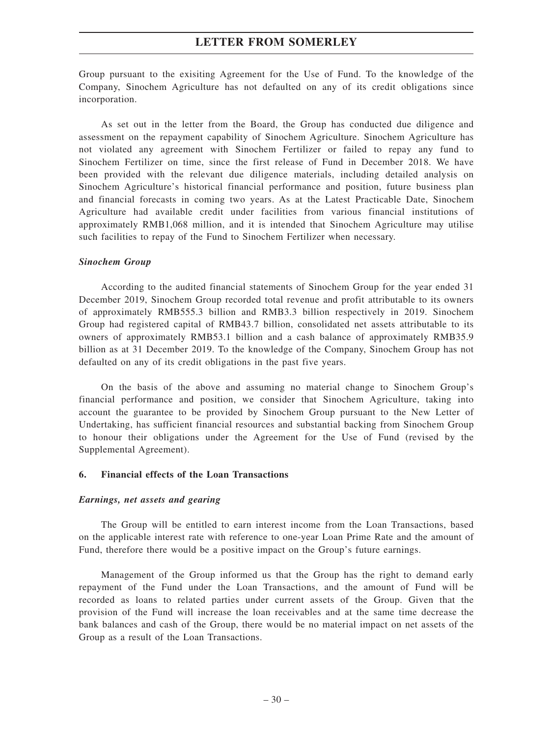Group pursuant to the exisiting Agreement for the Use of Fund. To the knowledge of the Company, Sinochem Agriculture has not defaulted on any of its credit obligations since incorporation.

As set out in the letter from the Board, the Group has conducted due diligence and assessment on the repayment capability of Sinochem Agriculture. Sinochem Agriculture has not violated any agreement with Sinochem Fertilizer or failed to repay any fund to Sinochem Fertilizer on time, since the first release of Fund in December 2018. We have been provided with the relevant due diligence materials, including detailed analysis on Sinochem Agriculture's historical financial performance and position, future business plan and financial forecasts in coming two years. As at the Latest Practicable Date, Sinochem Agriculture had available credit under facilities from various financial institutions of approximately RMB1,068 million, and it is intended that Sinochem Agriculture may utilise such facilities to repay of the Fund to Sinochem Fertilizer when necessary.

#### *Sinochem Group*

According to the audited financial statements of Sinochem Group for the year ended 31 December 2019, Sinochem Group recorded total revenue and profit attributable to its owners of approximately RMB555.3 billion and RMB3.3 billion respectively in 2019. Sinochem Group had registered capital of RMB43.7 billion, consolidated net assets attributable to its owners of approximately RMB53.1 billion and a cash balance of approximately RMB35.9 billion as at 31 December 2019. To the knowledge of the Company, Sinochem Group has not defaulted on any of its credit obligations in the past five years.

On the basis of the above and assuming no material change to Sinochem Group's financial performance and position, we consider that Sinochem Agriculture, taking into account the guarantee to be provided by Sinochem Group pursuant to the New Letter of Undertaking, has sufficient financial resources and substantial backing from Sinochem Group to honour their obligations under the Agreement for the Use of Fund (revised by the Supplemental Agreement).

### **6. Financial effects of the Loan Transactions**

#### *Earnings, net assets and gearing*

The Group will be entitled to earn interest income from the Loan Transactions, based on the applicable interest rate with reference to one-year Loan Prime Rate and the amount of Fund, therefore there would be a positive impact on the Group's future earnings.

Management of the Group informed us that the Group has the right to demand early repayment of the Fund under the Loan Transactions, and the amount of Fund will be recorded as loans to related parties under current assets of the Group. Given that the provision of the Fund will increase the loan receivables and at the same time decrease the bank balances and cash of the Group, there would be no material impact on net assets of the Group as a result of the Loan Transactions.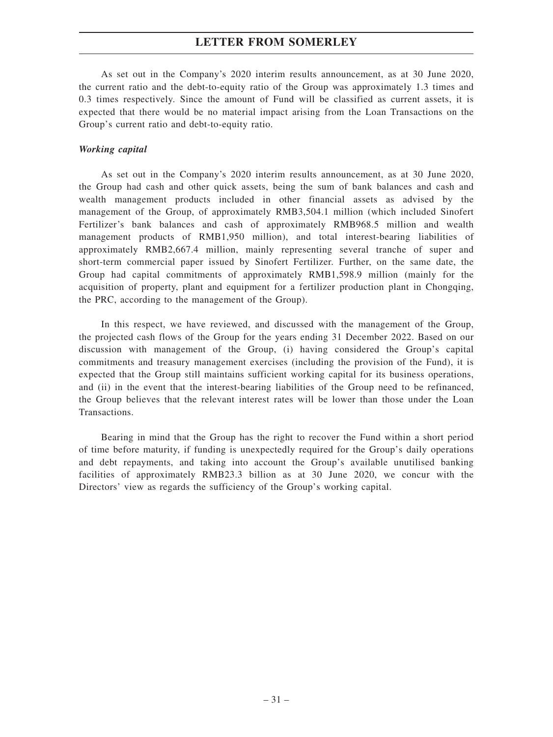As set out in the Company's 2020 interim results announcement, as at 30 June 2020, the current ratio and the debt-to-equity ratio of the Group was approximately 1.3 times and 0.3 times respectively. Since the amount of Fund will be classified as current assets, it is expected that there would be no material impact arising from the Loan Transactions on the Group's current ratio and debt-to-equity ratio.

#### *Working capital*

As set out in the Company's 2020 interim results announcement, as at 30 June 2020, the Group had cash and other quick assets, being the sum of bank balances and cash and wealth management products included in other financial assets as advised by the management of the Group, of approximately RMB3,504.1 million (which included Sinofert Fertilizer's bank balances and cash of approximately RMB968.5 million and wealth management products of RMB1,950 million), and total interest-bearing liabilities of approximately RMB2,667.4 million, mainly representing several tranche of super and short-term commercial paper issued by Sinofert Fertilizer. Further, on the same date, the Group had capital commitments of approximately RMB1,598.9 million (mainly for the acquisition of property, plant and equipment for a fertilizer production plant in Chongqing, the PRC, according to the management of the Group).

In this respect, we have reviewed, and discussed with the management of the Group, the projected cash flows of the Group for the years ending 31 December 2022. Based on our discussion with management of the Group, (i) having considered the Group's capital commitments and treasury management exercises (including the provision of the Fund), it is expected that the Group still maintains sufficient working capital for its business operations, and (ii) in the event that the interest-bearing liabilities of the Group need to be refinanced, the Group believes that the relevant interest rates will be lower than those under the Loan Transactions.

Bearing in mind that the Group has the right to recover the Fund within a short period of time before maturity, if funding is unexpectedly required for the Group's daily operations and debt repayments, and taking into account the Group's available unutilised banking facilities of approximately RMB23.3 billion as at 30 June 2020, we concur with the Directors' view as regards the sufficiency of the Group's working capital.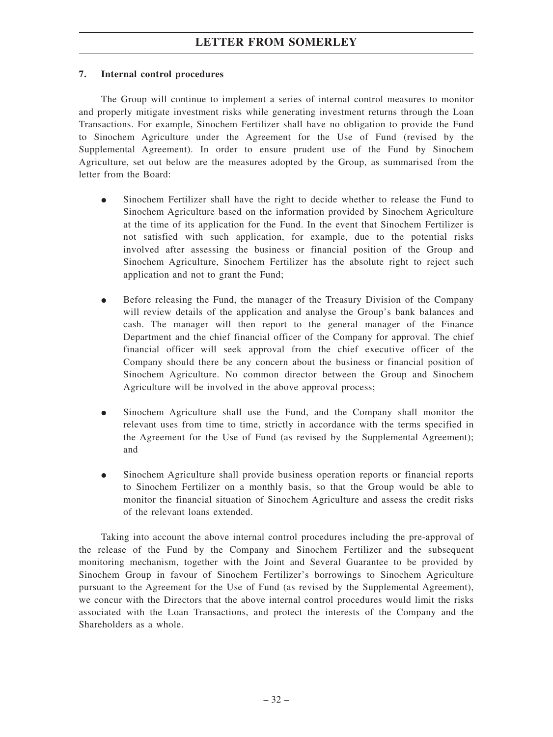## **7. Internal control procedures**

The Group will continue to implement a series of internal control measures to monitor and properly mitigate investment risks while generating investment returns through the Loan Transactions. For example, Sinochem Fertilizer shall have no obligation to provide the Fund to Sinochem Agriculture under the Agreement for the Use of Fund (revised by the Supplemental Agreement). In order to ensure prudent use of the Fund by Sinochem Agriculture, set out below are the measures adopted by the Group, as summarised from the letter from the Board:

- $\bullet$  Sinochem Fertilizer shall have the right to decide whether to release the Fund to Sinochem Agriculture based on the information provided by Sinochem Agriculture at the time of its application for the Fund. In the event that Sinochem Fertilizer is not satisfied with such application, for example, due to the potential risks involved after assessing the business or financial position of the Group and Sinochem Agriculture, Sinochem Fertilizer has the absolute right to reject such application and not to grant the Fund;
- $\bullet$  Before releasing the Fund, the manager of the Treasury Division of the Company will review details of the application and analyse the Group's bank balances and cash. The manager will then report to the general manager of the Finance Department and the chief financial officer of the Company for approval. The chief financial officer will seek approval from the chief executive officer of the Company should there be any concern about the business or financial position of Sinochem Agriculture. No common director between the Group and Sinochem Agriculture will be involved in the above approval process;
- $\bullet$  Sinochem Agriculture shall use the Fund, and the Company shall monitor the relevant uses from time to time, strictly in accordance with the terms specified in the Agreement for the Use of Fund (as revised by the Supplemental Agreement); and
- $\bullet$  Sinochem Agriculture shall provide business operation reports or financial reports to Sinochem Fertilizer on a monthly basis, so that the Group would be able to monitor the financial situation of Sinochem Agriculture and assess the credit risks of the relevant loans extended.

Taking into account the above internal control procedures including the pre-approval of the release of the Fund by the Company and Sinochem Fertilizer and the subsequent monitoring mechanism, together with the Joint and Several Guarantee to be provided by Sinochem Group in favour of Sinochem Fertilizer's borrowings to Sinochem Agriculture pursuant to the Agreement for the Use of Fund (as revised by the Supplemental Agreement), we concur with the Directors that the above internal control procedures would limit the risks associated with the Loan Transactions, and protect the interests of the Company and the Shareholders as a whole.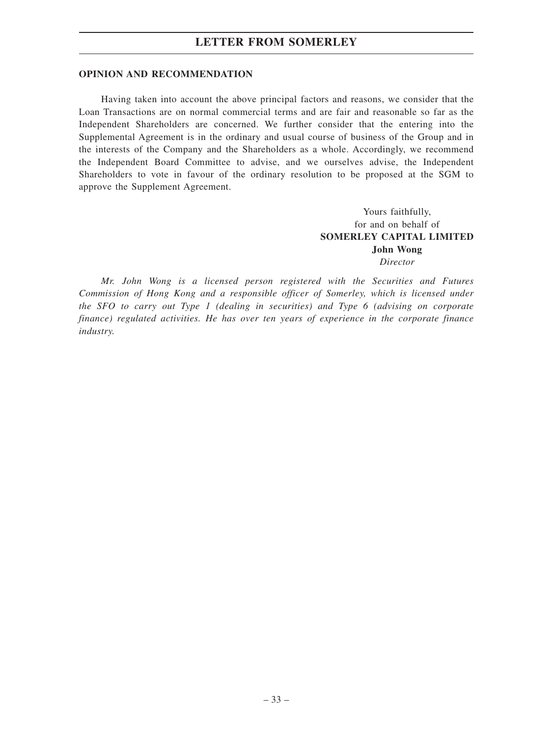## **OPINION AND RECOMMENDATION**

Having taken into account the above principal factors and reasons, we consider that the Loan Transactions are on normal commercial terms and are fair and reasonable so far as the Independent Shareholders are concerned. We further consider that the entering into the Supplemental Agreement is in the ordinary and usual course of business of the Group and in the interests of the Company and the Shareholders as a whole. Accordingly, we recommend the Independent Board Committee to advise, and we ourselves advise, the Independent Shareholders to vote in favour of the ordinary resolution to be proposed at the SGM to approve the Supplement Agreement.

> Yours faithfully, for and on behalf of **SOMERLEY CAPITAL LIMITED John Wong** *Director*

*Mr. John Wong is a licensed person registered with the Securities and Futures Commission of Hong Kong and a responsible officer of Somerley, which is licensed under the SFO to carry out Type 1 (dealing in securities) and Type 6 (advising on corporate finance) regulated activities. He has over ten years of experience in the corporate finance industry.*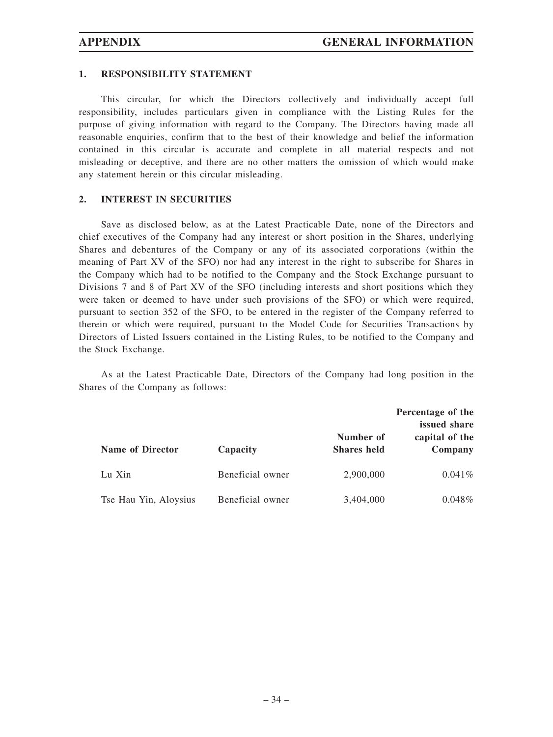#### **1. RESPONSIBILITY STATEMENT**

This circular, for which the Directors collectively and individually accept full responsibility, includes particulars given in compliance with the Listing Rules for the purpose of giving information with regard to the Company. The Directors having made all reasonable enquiries, confirm that to the best of their knowledge and belief the information contained in this circular is accurate and complete in all material respects and not misleading or deceptive, and there are no other matters the omission of which would make any statement herein or this circular misleading.

#### **2. INTEREST IN SECURITIES**

Save as disclosed below, as at the Latest Practicable Date, none of the Directors and chief executives of the Company had any interest or short position in the Shares, underlying Shares and debentures of the Company or any of its associated corporations (within the meaning of Part XV of the SFO) nor had any interest in the right to subscribe for Shares in the Company which had to be notified to the Company and the Stock Exchange pursuant to Divisions 7 and 8 of Part XV of the SFO (including interests and short positions which they were taken or deemed to have under such provisions of the SFO) or which were required, pursuant to section 352 of the SFO, to be entered in the register of the Company referred to therein or which were required, pursuant to the Model Code for Securities Transactions by Directors of Listed Issuers contained in the Listing Rules, to be notified to the Company and the Stock Exchange.

As at the Latest Practicable Date, Directors of the Company had long position in the Shares of the Company as follows:

| <b>Name of Director</b> | Capacity         | Number of<br><b>Shares</b> held | Percentage of the<br>issued share<br>capital of the<br>Company |
|-------------------------|------------------|---------------------------------|----------------------------------------------------------------|
| Lu Xin                  | Beneficial owner | 2,900,000                       | $0.041\%$                                                      |
| Tse Hau Yin, Aloysius   | Beneficial owner | 3,404,000                       | $0.048\%$                                                      |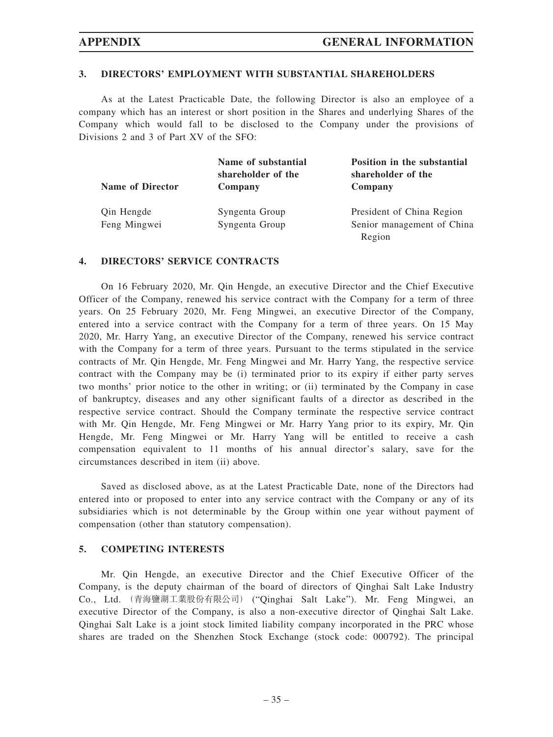## **3. DIRECTORS' EMPLOYMENT WITH SUBSTANTIAL SHAREHOLDERS**

As at the Latest Practicable Date, the following Director is also an employee of a company which has an interest or short position in the Shares and underlying Shares of the Company which would fall to be disclosed to the Company under the provisions of Divisions 2 and 3 of Part XV of the SFO:

| <b>Name of Director</b> | Name of substantial<br>shareholder of the<br>Company | Position in the substantial<br>shareholder of the<br>Company |
|-------------------------|------------------------------------------------------|--------------------------------------------------------------|
| Qin Hengde              | Syngenta Group                                       | President of China Region                                    |
| Feng Mingwei            | Syngenta Group                                       | Senior management of China                                   |
|                         |                                                      | Region                                                       |

#### **4. DIRECTORS' SERVICE CONTRACTS**

On 16 February 2020, Mr. Qin Hengde, an executive Director and the Chief Executive Officer of the Company, renewed his service contract with the Company for a term of three years. On 25 February 2020, Mr. Feng Mingwei, an executive Director of the Company, entered into a service contract with the Company for a term of three years. On 15 May 2020, Mr. Harry Yang, an executive Director of the Company, renewed his service contract with the Company for a term of three years. Pursuant to the terms stipulated in the service contracts of Mr. Qin Hengde, Mr. Feng Mingwei and Mr. Harry Yang, the respective service contract with the Company may be (i) terminated prior to its expiry if either party serves two months' prior notice to the other in writing; or (ii) terminated by the Company in case of bankruptcy, diseases and any other significant faults of a director as described in the respective service contract. Should the Company terminate the respective service contract with Mr. Qin Hengde, Mr. Feng Mingwei or Mr. Harry Yang prior to its expiry, Mr. Qin Hengde, Mr. Feng Mingwei or Mr. Harry Yang will be entitled to receive a cash compensation equivalent to 11 months of his annual director's salary, save for the circumstances described in item (ii) above.

Saved as disclosed above, as at the Latest Practicable Date, none of the Directors had entered into or proposed to enter into any service contract with the Company or any of its subsidiaries which is not determinable by the Group within one year without payment of compensation (other than statutory compensation).

#### **5. COMPETING INTERESTS**

Mr. Qin Hengde, an executive Director and the Chief Executive Officer of the Company, is the deputy chairman of the board of directors of Qinghai Salt Lake Industry Co., Ltd. (青海鹽湖工業股份有限公司) ("Qinghai Salt Lake"). Mr. Feng Mingwei, an executive Director of the Company, is also a non-executive director of Qinghai Salt Lake. Qinghai Salt Lake is a joint stock limited liability company incorporated in the PRC whose shares are traded on the Shenzhen Stock Exchange (stock code: 000792). The principal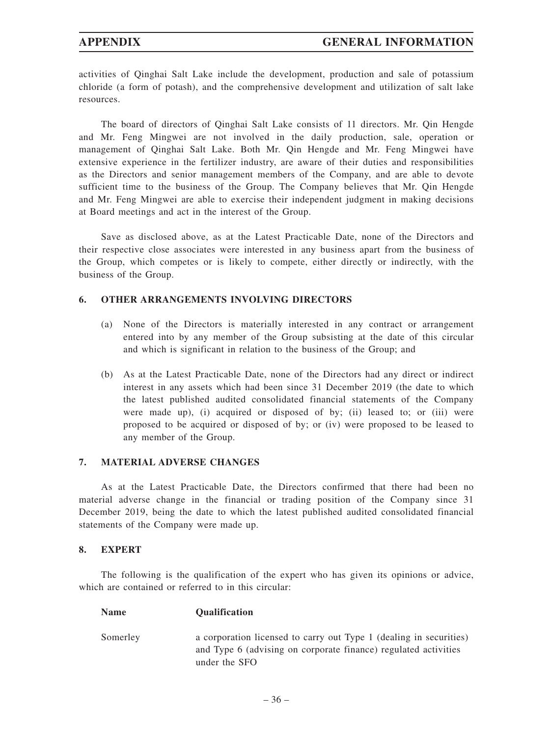activities of Qinghai Salt Lake include the development, production and sale of potassium chloride (a form of potash), and the comprehensive development and utilization of salt lake resources.

The board of directors of Qinghai Salt Lake consists of 11 directors. Mr. Qin Hengde and Mr. Feng Mingwei are not involved in the daily production, sale, operation or management of Qinghai Salt Lake. Both Mr. Qin Hengde and Mr. Feng Mingwei have extensive experience in the fertilizer industry, are aware of their duties and responsibilities as the Directors and senior management members of the Company, and are able to devote sufficient time to the business of the Group. The Company believes that Mr. Qin Hengde and Mr. Feng Mingwei are able to exercise their independent judgment in making decisions at Board meetings and act in the interest of the Group.

Save as disclosed above, as at the Latest Practicable Date, none of the Directors and their respective close associates were interested in any business apart from the business of the Group, which competes or is likely to compete, either directly or indirectly, with the business of the Group.

## **6. OTHER ARRANGEMENTS INVOLVING DIRECTORS**

- (a) None of the Directors is materially interested in any contract or arrangement entered into by any member of the Group subsisting at the date of this circular and which is significant in relation to the business of the Group; and
- (b) As at the Latest Practicable Date, none of the Directors had any direct or indirect interest in any assets which had been since 31 December 2019 (the date to which the latest published audited consolidated financial statements of the Company were made up), (i) acquired or disposed of by; (ii) leased to; or (iii) were proposed to be acquired or disposed of by; or (iv) were proposed to be leased to any member of the Group.

## **7. MATERIAL ADVERSE CHANGES**

**Name Qualification**

As at the Latest Practicable Date, the Directors confirmed that there had been no material adverse change in the financial or trading position of the Company since 31 December 2019, being the date to which the latest published audited consolidated financial statements of the Company were made up.

## **8. EXPERT**

The following is the qualification of the expert who has given its opinions or advice, which are contained or referred to in this circular:

Somerley a corporation licensed to carry out Type 1 (dealing in securities) and Type 6 (advising on corporate finance) regulated activities under the SFO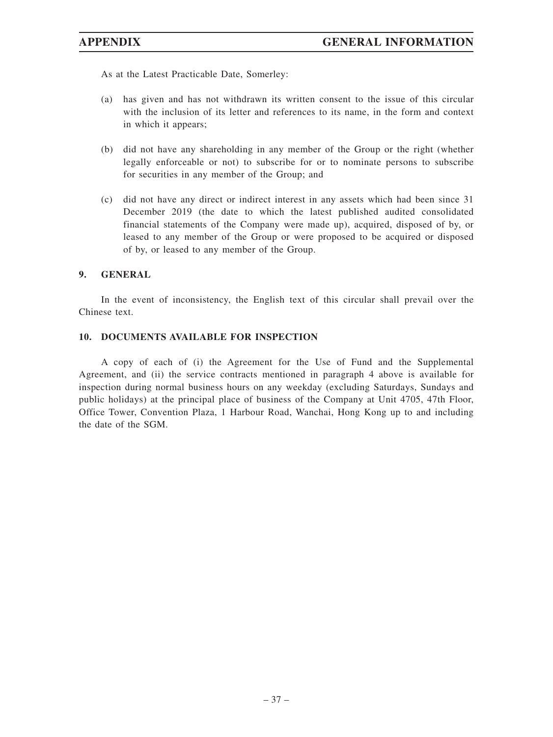As at the Latest Practicable Date, Somerley:

- (a) has given and has not withdrawn its written consent to the issue of this circular with the inclusion of its letter and references to its name, in the form and context in which it appears;
- (b) did not have any shareholding in any member of the Group or the right (whether legally enforceable or not) to subscribe for or to nominate persons to subscribe for securities in any member of the Group; and
- (c) did not have any direct or indirect interest in any assets which had been since 31 December 2019 (the date to which the latest published audited consolidated financial statements of the Company were made up), acquired, disposed of by, or leased to any member of the Group or were proposed to be acquired or disposed of by, or leased to any member of the Group.

#### **9. GENERAL**

In the event of inconsistency, the English text of this circular shall prevail over the Chinese text.

#### **10. DOCUMENTS AVAILABLE FOR INSPECTION**

A copy of each of (i) the Agreement for the Use of Fund and the Supplemental Agreement, and (ii) the service contracts mentioned in paragraph 4 above is available for inspection during normal business hours on any weekday (excluding Saturdays, Sundays and public holidays) at the principal place of business of the Company at Unit 4705, 47th Floor, Office Tower, Convention Plaza, 1 Harbour Road, Wanchai, Hong Kong up to and including the date of the SGM.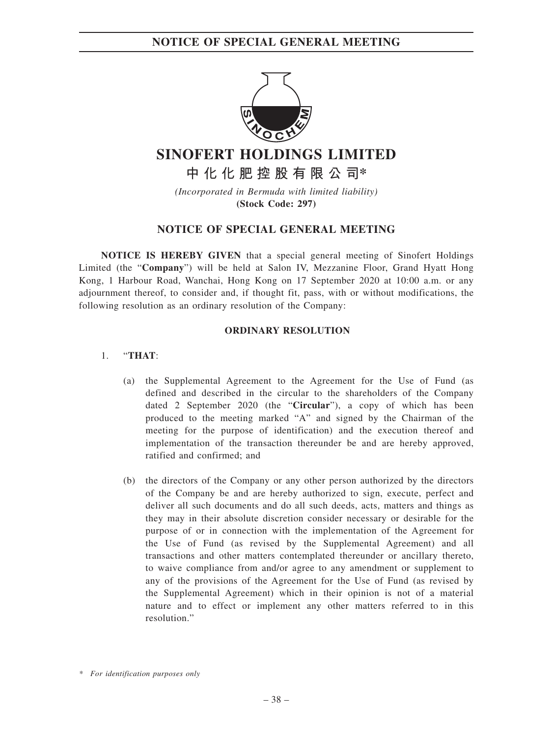## **NOTICE OF SPECIAL GENERAL MEETING**



# **SINOFERT HOLDINGS LIMITED**

**中化化肥控股有限公司\***

*(Incorporated in Bermuda with limited liability)* **(Stock Code: 297)**

## **NOTICE OF SPECIAL GENERAL MEETING**

**NOTICE IS HEREBY GIVEN** that a special general meeting of Sinofert Holdings Limited (the "**Company**") will be held at Salon IV, Mezzanine Floor, Grand Hyatt Hong Kong, 1 Harbour Road, Wanchai, Hong Kong on 17 September 2020 at 10:00 a.m. or any adjournment thereof, to consider and, if thought fit, pass, with or without modifications, the following resolution as an ordinary resolution of the Company:

## **ORDINARY RESOLUTION**

## 1. "**THAT**:

- (a) the Supplemental Agreement to the Agreement for the Use of Fund (as defined and described in the circular to the shareholders of the Company dated 2 September 2020 (the "**Circular**"), a copy of which has been produced to the meeting marked "A" and signed by the Chairman of the meeting for the purpose of identification) and the execution thereof and implementation of the transaction thereunder be and are hereby approved, ratified and confirmed; and
- (b) the directors of the Company or any other person authorized by the directors of the Company be and are hereby authorized to sign, execute, perfect and deliver all such documents and do all such deeds, acts, matters and things as they may in their absolute discretion consider necessary or desirable for the purpose of or in connection with the implementation of the Agreement for the Use of Fund (as revised by the Supplemental Agreement) and all transactions and other matters contemplated thereunder or ancillary thereto, to waive compliance from and/or agree to any amendment or supplement to any of the provisions of the Agreement for the Use of Fund (as revised by the Supplemental Agreement) which in their opinion is not of a material nature and to effect or implement any other matters referred to in this resolution."

*<sup>\*</sup> For identification purposes only*